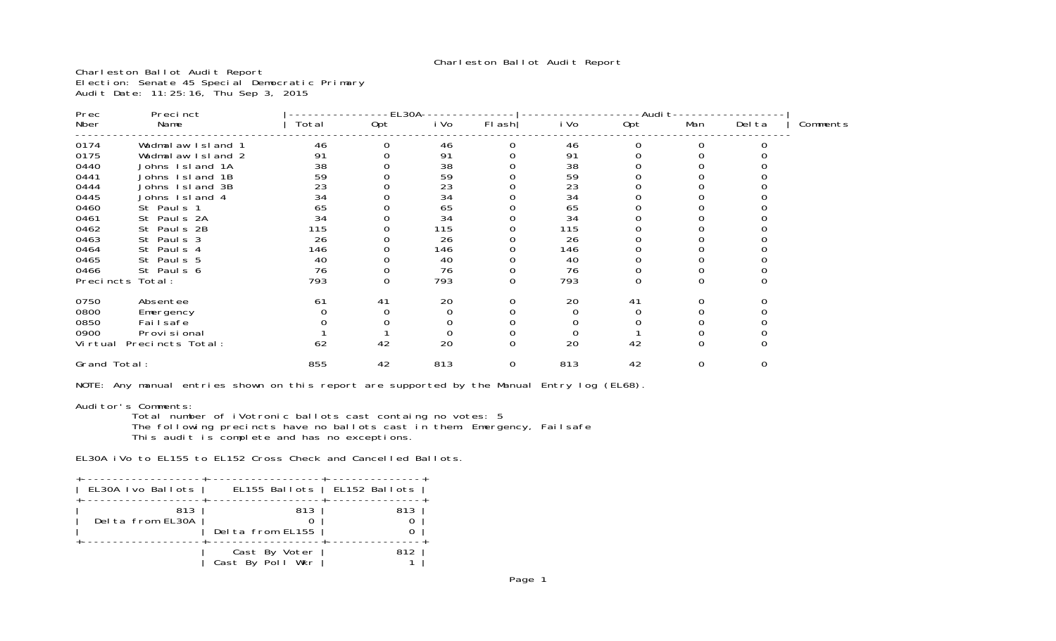Charleston Ballot Audit Report

Charleston Ballot Audit Report Election: Senate 45 Special Democratic Primary Audit Date: 11:25:16, Thu Sep 3, 2015

| Prec<br>Precinct |                   |       | EL30A |      |             | -Audi t  |     |          |        |          |
|------------------|-------------------|-------|-------|------|-------------|----------|-----|----------|--------|----------|
| Nber             | Name              | Total | Opt   | i Vo | FI ash      | i Vo     | 0pt | Man      | Del ta | Comments |
| 0174             | Wadmalaw Island 1 | 46    |       | 46   |             | 46       |     |          |        |          |
| 0175             | Wadmalaw Island 2 | 91    |       | 91   |             | 91       |     |          |        |          |
| 0440             | Johns Island 1A   | 38    |       | 38   |             | 38       |     |          |        |          |
| 0441             | Johns Island 1B   | 59    |       | 59   |             | 59       |     |          |        |          |
| 0444             | Johns Island 3B   | 23    |       | 23   |             | 23       |     |          |        |          |
| 0445             | Johns Island 4    | 34    |       | 34   |             | 34       |     |          |        |          |
| 0460             | St Pauls 1        | 65    |       | 65   |             | 65       |     |          |        |          |
| 0461             | St Pauls 2A       | 34    |       | 34   |             | 34       |     |          |        |          |
| 0462             | St Pauls 2B       | 115   |       | 115  |             | 115      |     |          |        |          |
| 0463             | St Pauls 3        | 26    |       | 26   |             | 26       |     |          |        |          |
| 0464             | St Pauls 4        | 146   |       | 146  |             | 146      |     |          |        |          |
| 0465             | St Pauls 5        | 40    |       | 40   |             | 40       |     |          |        |          |
| 0466             | St Pauls 6        | 76    |       | 76   |             | 76       |     |          |        |          |
| Precincts        | Total:            | 793   |       | 793  | O           | 793      |     |          |        |          |
| 0750             | Absentee          | 61    | 41    | 20   |             | 20       | 41  |          |        |          |
| 0800             | Emergency         |       |       |      |             | 0        | 0   |          |        |          |
| 0850             | Fai I safe        |       |       |      |             |          |     |          |        |          |
| 0900             | Provi si onal     |       |       |      |             | $\Omega$ |     |          |        |          |
| Vi rtual         | Precincts Total:  | 62    | 42    | 20   | $\mathbf 0$ | 20       | 42  | $\Omega$ |        |          |
| Grand Total:     |                   | 855   | 42    | 813  | 0           | 813      | 42  | 0        | 0      |          |
|                  |                   |       |       |      |             |          |     |          |        |          |

NOTE: Any manual entries shown on this report are supported by the Manual Entry log (EL68).

Auditor's Comments: Total number of iVotronic ballots cast containg no votes: 5 The following precincts have no ballots cast in them: Emergency, Failsafe This audit is complete and has no exceptions.

EL30A iVo to EL155 to EL152 Cross Check and Cancelled Ballots.

| EL30A Ivo Ballots       | EL155 Ballots   EL152 Ballots     |     |
|-------------------------|-----------------------------------|-----|
| 813<br>Delta from EL30A | 813<br>Delta from EL155           | 813 |
|                         | Cast By Voter<br>Cast By Poll Wkr | 812 |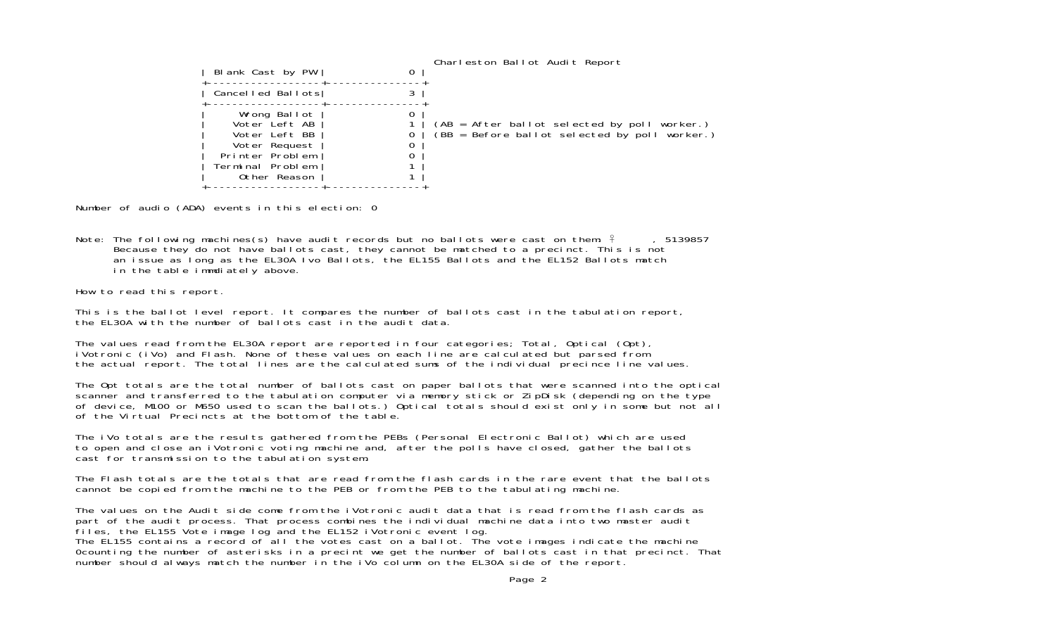| Blank Cast by PW                                                                                                       | 0 | Charleston Ballot Audit Report                                                                |
|------------------------------------------------------------------------------------------------------------------------|---|-----------------------------------------------------------------------------------------------|
| Cancelled Ballots                                                                                                      |   |                                                                                               |
| Wrong Ballot<br>Voter Left AB<br>Voter Left BB<br>Voter Request<br>Printer Problem<br>Terminal Problem<br>Other Reason |   | (AB = After ballot selected by poll worker.)<br>(BB = Before ballot selected by poll worker.) |

Number of audio (ADA) events in this election: 0

Note: The following machines(s) have audit records but no ballots were cast on them:  $\frac{2}{7}$ , 5139857 Because they do not have ballots cast, they cannot be matched to a precinct. This is not an issue as long as the EL30A Ivo Ballots, the EL155 Ballots and the EL152 Ballots match in the table immdiately above.

How to read this report.

This is the ballot level report. It compares the number of ballots cast in the tabulation report, the EL30A with the number of ballots cast in the audit data.

The values read from the EL30A report are reported in four categories; Total, Optical (Opt), iVotronic (iVo) and Flash. None of these values on each line are calculated but parsed from the actual report. The total lines are the calculated sums of the individual precince line values.

The Opt totals are the total number of ballots cast on paper ballots that were scanned into the optical scanner and transferred to the tabulation computer via memory stick or ZipDisk (depending on the type of device, M100 or M650 used to scan the ballots.) Optical totals should exist only in some but not all of the Virtual Precincts at the bottom of the table.

The iVo totals are the results gathered from the PEBs (Personal Electronic Ballot) which are used to open and close an iVotronic voting machine and, after the polls have closed, gather the ballots cast for transmission to the tabulation system.

The Flash totals are the totals that are read from the flash cards in the rare event that the ballots cannot be copied from the machine to the PEB or from the PEB to the tabulating machine.

The values on the Audit side come from the iVotronic audit data that is read from the flash cards as part of the audit process. That process combines the individual machine data into two master audit files, the EL155 Vote image log and the EL152 iVotronic event log. The EL155 contains a record of all the votes cast on a ballot. The vote images indicate the machine 0counting the number of asterisks in a precint we get the number of ballots cast in that precinct. That number should always match the number in the iVo column on the EL30A side of the report.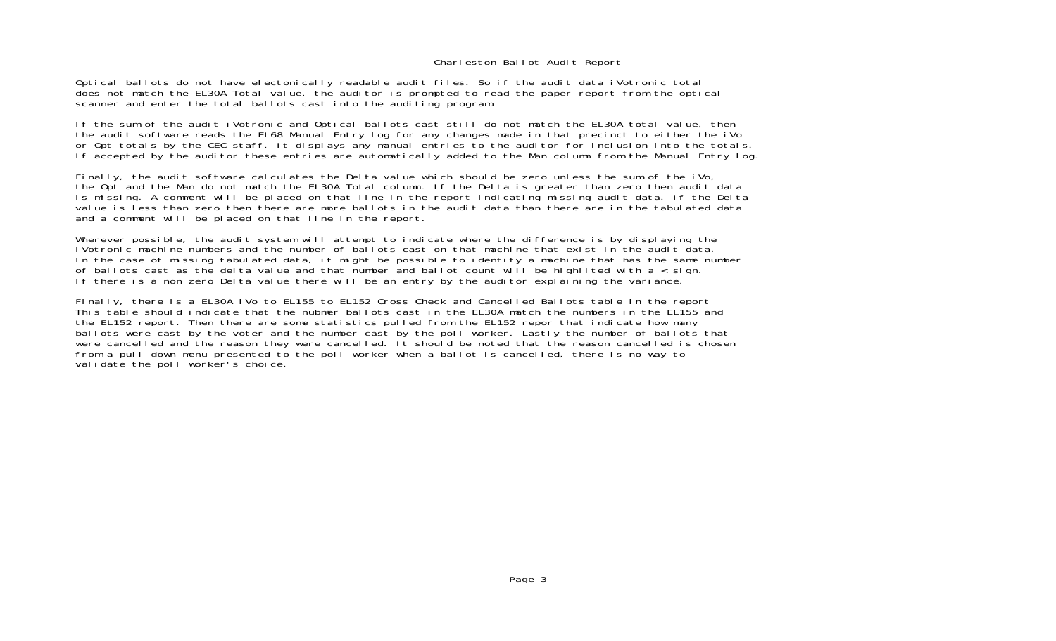#### Charleston Ballot Audit Report

Optical ballots do not have electonically readable audit files. So if the audit data iVotronic total does not match the EL30A Total value, the auditor is prompted to read the paper report from the optical scanner and enter the total ballots cast into the auditing program.

If the sum of the audit iVotronic and Optical ballots cast still do not match the EL30A total value, then the audit software reads the EL68 Manual Entry log for any changes made in that precinct to either the iVo or Opt totals by the CEC staff. It displays any manual entries to the auditor for inclusion into the totals. If accepted by the auditor these entries are automatically added to the Man column from the Manual Entry log.

Finally, the audit software calculates the Delta value which should be zero unless the sum of the iVo, the Opt and the Man do not match the EL30A Total column. If the Delta is greater than zero then audit data is missing. A comment will be placed on that line in the report indicating missing audit data. If the Delta value is less than zero then there are more ballots in the audit data than there are in the tabulated data and a comment will be placed on that line in the report.

Wherever possible, the audit system will attempt to indicate where the difference is by displaying the iVotronic machine numbers and the number of ballots cast on that machine that exist in the audit data In the case of missing tabulated data, it might be possible to identify a machine that has the same number of ballots cast as the delta value and that number and ballot count will be highlited with  $a <$  sign. If there is a non zero Delta value there will be an entry by the auditor explaining the variance.

Finally, there is a EL30A iVo to EL155 to EL152 Cross Check and Cancelled Ballots table in the report This table should indicate that the nubmer ballots cast in the EL30A match the numbers in the EL155 and the EL152 report. Then there are some statistics pulled from the EL152 repor that indicate how many ballots were cast by the voter and the number cast by the poll worker. Lastly the number of ballots that were cancelled and the reason they were cancelled. It should be noted that the reason cancelled is chosen from a pull down menu presented to the poll worker when a ballot is cancelled, there is no way to validate the poll worker's choice.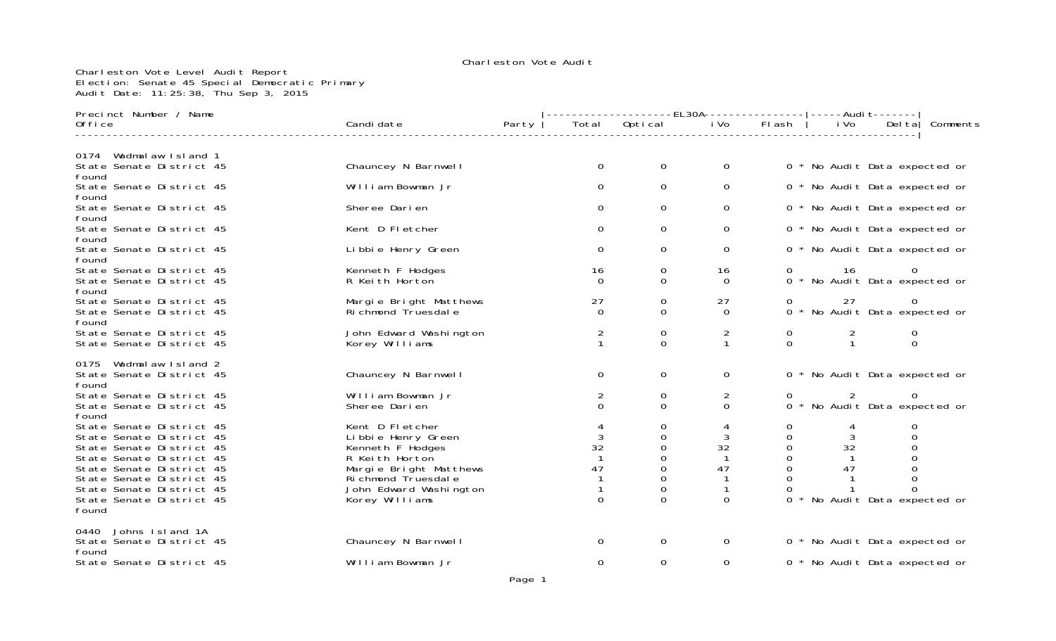#### Charleston Vote Level Audit Report Election: Senate 45 Special Democratic Primary Audit Date: 11:25:38, Thu Sep 3, 2015

| Precinct Number / Name                                                                                                                                                                                                                |                                                                                                                                                                           |       |                                           |                                                 | -------------EL30A---------------- ----Audit------- |                                                                                   |                                                 |                                                                           |          |
|---------------------------------------------------------------------------------------------------------------------------------------------------------------------------------------------------------------------------------------|---------------------------------------------------------------------------------------------------------------------------------------------------------------------------|-------|-------------------------------------------|-------------------------------------------------|-----------------------------------------------------|-----------------------------------------------------------------------------------|-------------------------------------------------|---------------------------------------------------------------------------|----------|
| 0ffice                                                                                                                                                                                                                                | Candi date                                                                                                                                                                | Party | Total                                     | Optical                                         | i Vo                                                | Flash                                                                             | i Vo                                            | Del tal                                                                   | Comments |
|                                                                                                                                                                                                                                       |                                                                                                                                                                           |       |                                           |                                                 |                                                     |                                                                                   |                                                 |                                                                           |          |
| Wadmalaw Island 1<br>0174<br>State Senate District 45<br>found                                                                                                                                                                        | Chauncey N Barnwell                                                                                                                                                       |       | $\mathbf 0$                               | $\mathbf 0$                                     | 0                                                   |                                                                                   | 0 * No Audit Data expected or                   |                                                                           |          |
| State Senate District 45<br>found                                                                                                                                                                                                     | William Bowman Jr                                                                                                                                                         |       | 0                                         | 0                                               | 0                                                   |                                                                                   | 0 * No Audit Data expected or                   |                                                                           |          |
| State Senate District 45<br>found                                                                                                                                                                                                     | Sheree Darien                                                                                                                                                             |       | $\Omega$                                  | $\mathbf 0$                                     | 0                                                   |                                                                                   | 0 * No Audit Data expected or                   |                                                                           |          |
| State Senate District 45<br>found                                                                                                                                                                                                     | Kent D Fletcher                                                                                                                                                           |       | $\Omega$                                  | 0                                               | $\Omega$                                            |                                                                                   | 0 * No Audit Data expected or                   |                                                                           |          |
| State Senate District 45<br>found                                                                                                                                                                                                     | Libbie Henry Green                                                                                                                                                        |       | $\Omega$                                  | 0                                               | 0                                                   |                                                                                   | 0 * No Audit Data expected or                   |                                                                           |          |
| State Senate District 45<br>State Senate District 45<br>found                                                                                                                                                                         | Kenneth F Hodges<br>R Keith Horton                                                                                                                                        |       | 16<br>$\Omega$                            | 0<br>0                                          | 16<br>$\Omega$                                      | $\mathbf{O}$                                                                      | 16<br>0 * No Audit Data expected or             | 0                                                                         |          |
| State Senate District 45<br>State Senate District 45<br>found                                                                                                                                                                         | Margie Bright Matthews<br>Richmond Truesdale                                                                                                                              |       | 27<br>$\Omega$                            | 0<br>0                                          | 27<br>$\Omega$                                      |                                                                                   | 27<br>0 * No Audit Data expected or             | 0                                                                         |          |
| State Senate District 45<br>State Senate District 45                                                                                                                                                                                  | John Edward Washington<br>Korey Williams                                                                                                                                  |       | 2<br>$\mathbf{1}$                         | 0<br>$\Omega$                                   | 2<br>$\mathbf{1}$                                   | 0<br>$\Omega$                                                                     | $\overline{2}$<br>$\mathbf{1}$                  | $\overline{0}$<br>$\mathbf{O}$                                            |          |
| Wadmalaw Island 2<br>0175<br>State Senate District 45<br>found                                                                                                                                                                        | Chauncey N Barnwell                                                                                                                                                       |       | $\Omega$                                  | 0                                               | 0                                                   |                                                                                   | 0 * No Audit Data expected or                   |                                                                           |          |
| State Senate District 45<br>State Senate District 45<br>found                                                                                                                                                                         | William Bowman Jr<br>Sheree Darien                                                                                                                                        |       | 2<br>$\Omega$                             | 0<br>$\Omega$                                   | 2<br>$\Omega$                                       | $\mathbf{O}$                                                                      | 2<br>0 * No Audit Data expected or              | 0                                                                         |          |
| State Senate District 45<br>State Senate District 45<br>State Senate District 45<br>State Senate District 45<br>State Senate District 45<br>State Senate District 45<br>State Senate District 45<br>State Senate District 45<br>found | Kent D Fletcher<br>Li bbi e Henry Green<br>Kenneth F Hodges<br>R Keith Horton<br>Margie Bright Matthews<br>Richmond Truesdale<br>John Edward Washington<br>Korey Williams |       | 3<br>32<br>$\mathbf{1}$<br>47<br>$\Omega$ | 0<br>0<br>0<br>0<br>0<br>0<br>0<br><sup>0</sup> | 4<br>3<br>32<br>-1<br>47<br>$\Omega$                | 0<br>$\Omega$<br>$\mathsf{O}\xspace$<br>0<br>$\mathbf{O}$<br>$\Omega$<br>$\Omega$ | 4<br>3<br>32<br>47<br>No Audit Data expected or | 0<br>$\Omega$<br>0<br>$\mathbf 0$<br>$\mathbf{O}$<br>$\Omega$<br>$\Omega$ |          |
| Johns Island 1A<br>0440<br>State Senate District 45<br>found                                                                                                                                                                          | Chauncey N Barnwell                                                                                                                                                       |       | 0                                         | $\mathbf 0$                                     | 0                                                   |                                                                                   | 0 * No Audit Data expected or                   |                                                                           |          |
| State Senate District 45                                                                                                                                                                                                              | William Bowman Jr                                                                                                                                                         |       | 0                                         | 0                                               | 0                                                   |                                                                                   | 0 * No Audit Data expected or                   |                                                                           |          |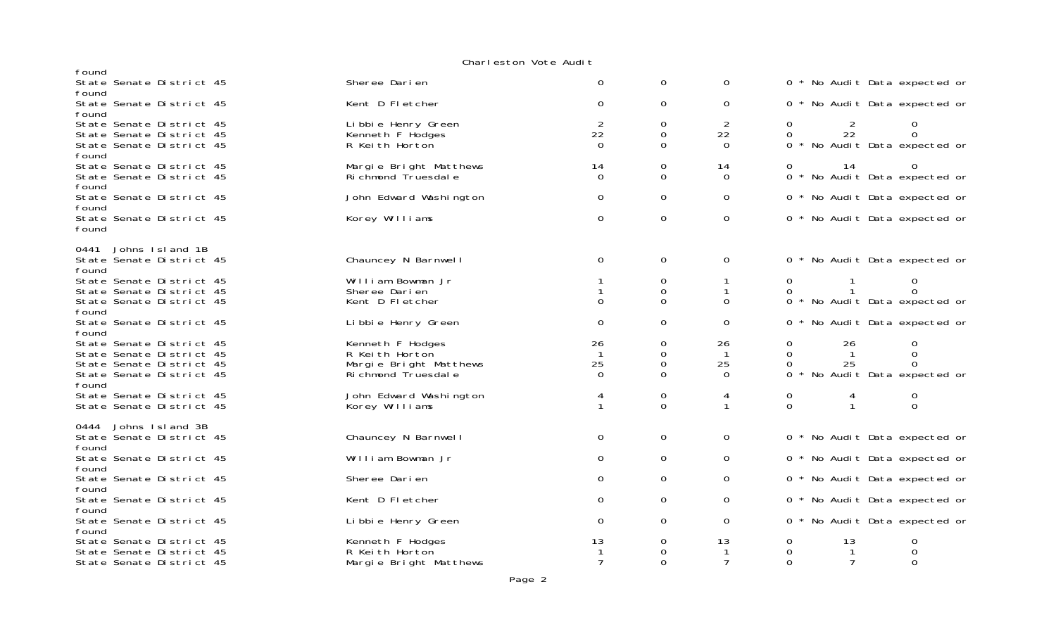#### Charleston Vote Audi t

| found                                                                                                        |                                                                                      |                      |                         |                                      |                                           |              |                                                        |  |
|--------------------------------------------------------------------------------------------------------------|--------------------------------------------------------------------------------------|----------------------|-------------------------|--------------------------------------|-------------------------------------------|--------------|--------------------------------------------------------|--|
| State Senate District 45                                                                                     | Sheree Darien                                                                        | $\Omega$             | 0                       | $\Omega$                             |                                           |              | 0 * No Audit Data expected or                          |  |
| found<br>State Senate District 45<br>found                                                                   | Kent D Fletcher                                                                      | $\Omega$             | 0                       | 0                                    |                                           |              | 0 * No Audit Data expected or                          |  |
| State Senate District 45<br>State Senate District 45<br>State Senate District 45<br>found                    | Li bbi e Henry Green<br>Kenneth F Hodges<br>R Keith Horton                           | 2<br>22<br>$\Omega$  | 0<br>0<br>$\Omega$      | 2<br>22<br>$\Omega$                  | $\mathbf{O}$<br>0                         | 2<br>22      | 0<br>0 * No Audit Data expected or                     |  |
| State Senate District 45<br>State Senate District 45<br>found                                                | Margie Bright Matthews<br>Richmond Truesdale                                         | 14<br>$\Omega$       | 0<br>$\Omega$           | 14<br>$\Omega$                       | 0                                         | 14           | 0 * No Audit Data expected or                          |  |
| State Senate District 45                                                                                     | John Edward Washington                                                               | 0                    | $\Omega$                | $\Omega$                             |                                           |              | 0 * No Audit Data expected or                          |  |
| found<br>State Senate District 45<br>found                                                                   | Korey Williams                                                                       | 0                    | $\mathbf 0$             | $\mathbf 0$                          |                                           |              | 0 * No Audit Data expected or                          |  |
| Johns Island 1B<br>0441<br>State Senate District 45<br>found                                                 | Chauncey N Barnwell                                                                  | 0                    | $\mathbf 0$             | 0                                    |                                           |              | 0 * No Audit Data expected or                          |  |
| State Senate District 45<br>State Senate District 45                                                         | William Bowman Jr<br>Sheree Darien                                                   |                      | 0<br>0                  | 1<br>$\mathbf 1$                     | $\mathbf{0}$<br>0                         |              | 0<br>$\Omega$                                          |  |
| State Senate District 45<br>found                                                                            | Kent D Fletcher                                                                      | $\Omega$             | $\Omega$                | $\Omega$                             |                                           |              | 0 * No Audit Data expected or                          |  |
| State Senate District 45<br>found                                                                            | Li bbi e Henry Green                                                                 | 0                    | 0                       | 0                                    |                                           |              | 0 * No Audit Data expected or                          |  |
| State Senate District 45<br>State Senate District 45<br>State Senate District 45<br>State Senate District 45 | Kenneth F Hodges<br>R Keith Horton<br>Margie Bright Matthews<br>Ri chmond Truesdal e | 26<br>25<br>$\Omega$ | 0<br>0<br>0<br>$\Omega$ | 26<br>$\mathbf{1}$<br>25<br>$\Omega$ | $\mathbf{O}$<br>$\Omega$<br>0             | 26<br>25     | 0<br>$\mathbf 0$<br>0<br>0 * No Audit Data expected or |  |
| found<br>State Senate District 45<br>State Senate District 45                                                | John Edward Washington<br>Korey Williams                                             | 4                    | 0<br>$\Omega$           | 4<br>$\mathbf{1}$                    | 0<br>$\Omega$                             | $\mathbf{1}$ | 0<br>$\Omega$                                          |  |
| Johns Island 3B<br>0444<br>State Senate District 45<br>found                                                 | Chauncey N Barnwell                                                                  | 0                    | 0                       | 0                                    |                                           |              | 0 * No Audit Data expected or                          |  |
| State Senate District 45<br>found                                                                            | William Bowman Jr                                                                    | 0                    | 0                       | 0                                    |                                           |              | 0 * No Audit Data expected or                          |  |
| State Senate District 45                                                                                     | Sheree Darien                                                                        | 0                    | 0                       | 0                                    |                                           |              | 0 * No Audit Data expected or                          |  |
| found<br>State Senate District 45                                                                            | Kent D Fletcher                                                                      | 0                    | $\mathbf 0$             | 0                                    |                                           |              | 0 * No Audit Data expected or                          |  |
| found<br>State Senate District 45<br>found                                                                   | Li bbi e Henry Green                                                                 | 0                    | $\mathbf 0$             | 0                                    |                                           |              | 0 * No Audit Data expected or                          |  |
| State Senate District 45<br>State Senate District 45<br>State Senate District 45                             | Kenneth F Hodges<br>R Keith Horton<br>Margie Bright Matthews                         | 13<br>$\overline{7}$ | 0<br>0<br>$\Omega$      | 13<br>-1<br>7                        | $\mathbf 0$<br>$\overline{0}$<br>$\Omega$ | 13<br>7      | 0<br>0                                                 |  |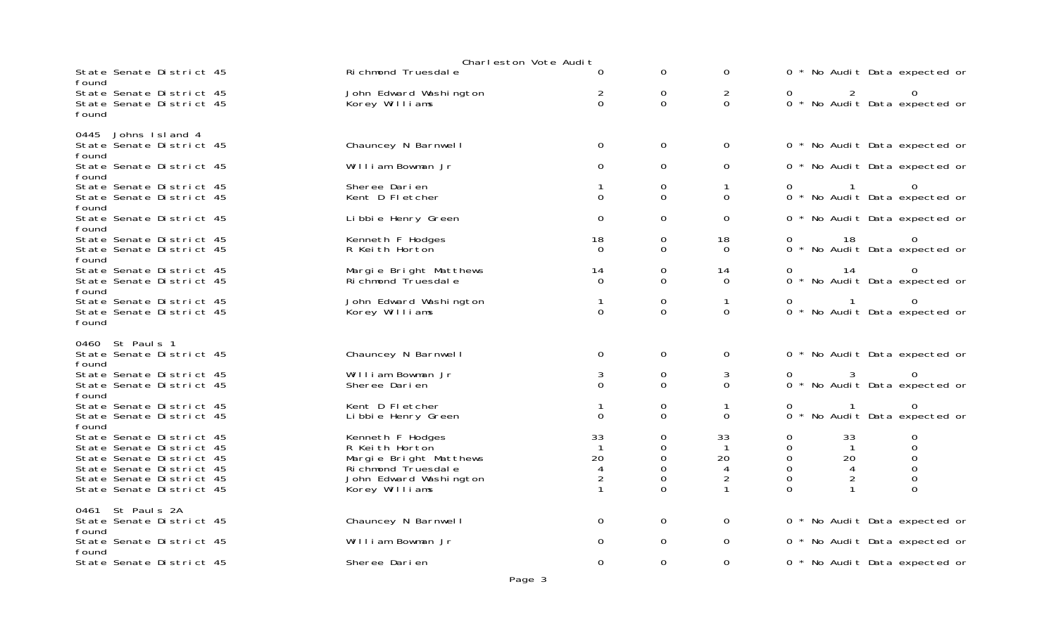|       | Charleston Vote Audit |                                                                                                                                                                      |  |                                                                                                                                  |                                              |                                      |                                                     |                                             |                                      |  |                                           |  |
|-------|-----------------------|----------------------------------------------------------------------------------------------------------------------------------------------------------------------|--|----------------------------------------------------------------------------------------------------------------------------------|----------------------------------------------|--------------------------------------|-----------------------------------------------------|---------------------------------------------|--------------------------------------|--|-------------------------------------------|--|
| found |                       | State Senate District 45                                                                                                                                             |  | Richmond Truesdale                                                                                                               | 0                                            | 0                                    | $\mathbf{O}$                                        |                                             |                                      |  | 0 * No Audit Data expected or             |  |
| found |                       | State Senate District 45<br>State Senate District 45                                                                                                                 |  | John Edward Washington<br>Korey Williams                                                                                         | 2<br>$\Omega$                                | 0<br>$\Omega$                        | $\overline{2}$<br>$\Omega$                          | 0                                           | $\overline{2}$                       |  | $\Omega$<br>0 * No Audit Data expected or |  |
| 0445  |                       | Johns Island 4                                                                                                                                                       |  |                                                                                                                                  |                                              |                                      |                                                     |                                             |                                      |  |                                           |  |
| found |                       | State Senate District 45                                                                                                                                             |  | Chauncey N Barnwell                                                                                                              | $\Omega$                                     | 0                                    | $\mathbf{O}$                                        |                                             |                                      |  | 0 * No Audit Data expected or             |  |
| found |                       | State Senate District 45                                                                                                                                             |  | William Bowman Jr                                                                                                                | 0                                            | 0                                    | 0                                                   |                                             |                                      |  | 0 * No Audit Data expected or             |  |
| found |                       | State Senate District 45<br>State Senate District 45                                                                                                                 |  | Sheree Darien<br>Kent D Fletcher                                                                                                 | 0                                            | 0<br>$\mathbf{O}$                    | 1<br>$\Omega$                                       |                                             | $\overline{1}$                       |  | 0 * No Audit Data expected or             |  |
| found |                       | State Senate District 45                                                                                                                                             |  | Li bbi e Henry Green                                                                                                             | 0                                            | 0                                    | 0                                                   |                                             |                                      |  | 0 * No Audit Data expected or             |  |
| found |                       | State Senate District 45<br>State Senate District 45                                                                                                                 |  | Kenneth F Hodges<br>R Keith Horton                                                                                               | 18<br>$\Omega$                               | 0<br>$\Omega$                        | 18<br>$\Omega$                                      | 0                                           | 18                                   |  | $\Omega$<br>0 * No Audit Data expected or |  |
| found |                       | State Senate District 45<br>State Senate District 45                                                                                                                 |  | Margie Bright Matthews<br>Ri chmond Truesdal e                                                                                   | 14<br>$\Omega$                               | 0<br>$\Omega$                        | 14<br>0                                             | 0                                           | 14                                   |  | 0 * No Audit Data expected or             |  |
| found |                       | State Senate District 45<br>State Senate District 45                                                                                                                 |  | John Edward Washington<br>Korey Williams                                                                                         | $\Omega$                                     | 0<br>$\Omega$                        | $\mathbf{1}$<br>$\Omega$                            | 0                                           | $\sim$ 1                             |  | $\Omega$<br>0 * No Audit Data expected or |  |
| found | 0460 St Pauls 1       | State Senate District 45                                                                                                                                             |  | Chauncey N Barnwell                                                                                                              | 0                                            | 0                                    | $\mathbf{O}$                                        |                                             |                                      |  | 0 * No Audit Data expected or             |  |
| found |                       | State Senate District 45<br>State Senate District 45                                                                                                                 |  | William Bowman Jr<br>Sheree Darien                                                                                               | 3<br>$\Omega$                                | 0<br>$\Omega$                        | 3<br>$\Omega$                                       | $\overline{0}$                              |                                      |  | 0<br>0 * No Audit Data expected or        |  |
| found |                       | State Senate District 45<br>State Senate District 45                                                                                                                 |  | Kent D Fletcher<br>Li bbi e Henry Green                                                                                          | $\Omega$                                     | 0<br>$\Omega$                        | 1<br>$\Omega$                                       | 0                                           |                                      |  | $\Omega$<br>0 * No Audit Data expected or |  |
|       |                       | State Senate District 45<br>State Senate District 45<br>State Senate District 45<br>State Senate District 45<br>State Senate District 45<br>State Senate District 45 |  | Kenneth F Hodges<br>R Keith Horton<br>Margie Bright Matthews<br>Ri chmond Truesdal e<br>John Edward Washington<br>Korey Williams | 33<br>20<br>$\overline{4}$<br>$\overline{2}$ | 0<br>$\mathbf 0$<br>0<br>0<br>0<br>0 | 33<br>$\mathbf 1$<br>20<br>4<br>$\overline{2}$<br>1 | 0<br>0<br>0<br>$\mathbf 0$<br>0<br>$\Omega$ | 33<br>$\overline{1}$<br>20<br>4<br>2 |  | 0<br>0<br>$\Omega$<br>0<br>0<br>0         |  |
| found | 0461 St Pauls 2A      | State Senate District 45                                                                                                                                             |  | Chauncey N Barnwell                                                                                                              | 0                                            | 0                                    | $\mathbf{O}$                                        |                                             |                                      |  | 0 * No Audit Data expected or             |  |
|       |                       | State Senate District 45                                                                                                                                             |  | William Bowman Jr                                                                                                                | 0                                            | 0                                    | $\mathbf{O}$                                        |                                             |                                      |  | 0 * No Audit Data expected or             |  |
| found |                       | State Senate District 45                                                                                                                                             |  | Sheree Darien                                                                                                                    | $\Omega$                                     | 0                                    | 0                                                   |                                             |                                      |  | 0 * No Audit Data expected or             |  |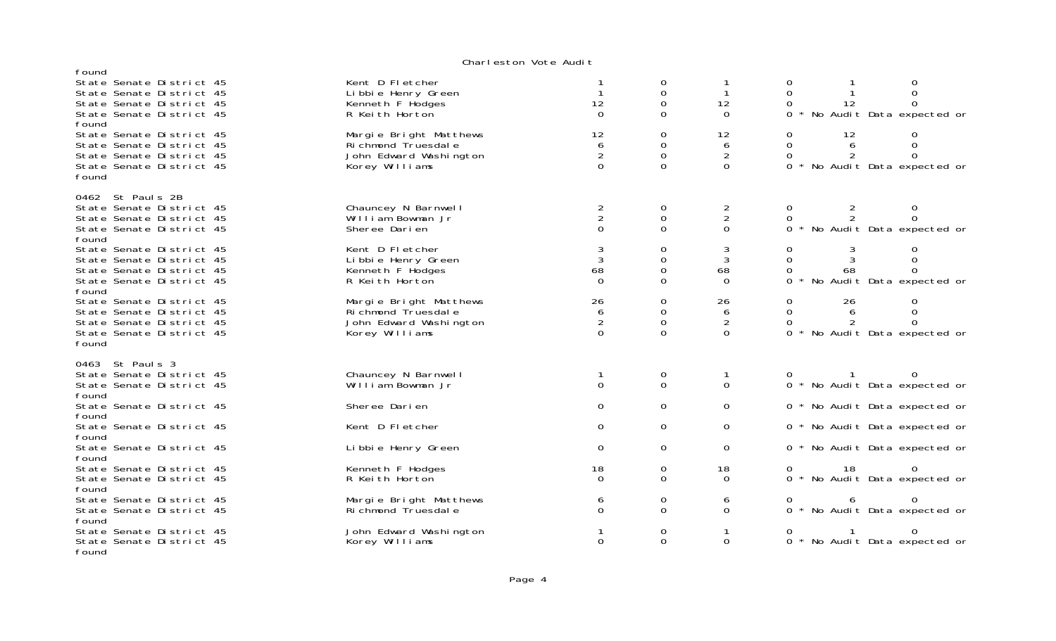#### Charleston Vote Audi t

| found                                                                                                                 |                                                                                            |                                       |                                   |                                              |                                       |                     |                                                                |
|-----------------------------------------------------------------------------------------------------------------------|--------------------------------------------------------------------------------------------|---------------------------------------|-----------------------------------|----------------------------------------------|---------------------------------------|---------------------|----------------------------------------------------------------|
| State Senate District 45<br>State Senate District 45<br>State Senate District 45<br>State Senate District 45<br>found | Kent D Fletcher<br>Li bbi e Henry Green<br>Kenneth F Hodges<br>R Keith Horton              | 12<br>$\Omega$                        | 0<br>0<br>0<br>0                  | $\mathbf{1}$<br>12<br>$\Omega$               | 0<br>$\Omega$<br>0<br>0               | 12                  | 0<br><sup>n</sup><br>* No Audit Data expected or               |
| State Senate District 45<br>State Senate District 45<br>State Senate District 45<br>State Senate District 45<br>found | Margie Bright Matthews<br>Ri chmond Truesdal e<br>John Edward Washington<br>Korey Williams | 12<br>6<br>$\overline{2}$<br>$\Omega$ | 0<br>0<br>$\mathbf 0$<br>$\Omega$ | 12<br>6<br>$\overline{2}$<br>$\Omega$        | 0<br>$\Omega$<br>$\Omega$<br>$\Omega$ | 12<br>6<br>2        | 0<br>$\Omega$<br>$\Omega$<br>* No Audit Data expected or       |
| 0462 St Pauls 2B<br>State Senate District 45<br>State Senate District 45<br>State Senate District 45<br>found         | Chauncey N Barnwell<br>William Bowman Jr<br>Sheree Darien                                  | $\frac{2}{2}$<br>$\Omega$             | 0<br>$\mathbf 0$<br>0             | $\overline{c}$<br>$\overline{2}$<br>$\Omega$ | 0<br>$\Omega$                         | 2<br>$\overline{2}$ | 0<br>$\Omega$<br>0 * No Audit Data expected or                 |
| State Senate District 45<br>State Senate District 45<br>State Senate District 45<br>State Senate District 45<br>found | Kent D Fletcher<br>Li bbi e Henry Green<br>Kenneth F Hodges<br>R Keith Horton              | 3<br>3<br>68<br>$\Omega$              | 0<br>0<br>$\Omega$<br>0           | 3<br>3<br>68<br>0                            | 0<br>$\Omega$<br>0<br>0               | 3<br>3<br>68        | 0<br>0<br>0<br>No Audit Data expected or                       |
| State Senate District 45<br>State Senate District 45<br>State Senate District 45<br>State Senate District 45<br>found | Margie Bright Matthews<br>Richmond Truesdale<br>John Edward Washington<br>Korey Williams   | 26<br>6<br>2<br>$\Omega$              | 0<br>0<br>$\Omega$<br>0           | 26<br>6<br>2<br>$\Omega$                     | 0<br>0<br>0<br>$\Omega$               | 26<br>6<br>2        | 0<br>$\mathbf 0$<br>$\Omega$<br>* No Audit Data expected or    |
| 0463 St Paul s 3<br>State Senate District 45<br>State Senate District 45<br>found                                     | Chauncey N Barnwell<br>William Bowman Jr                                                   | $\Omega$                              | 0<br>$\mathbf 0$                  | $\mathbf{1}$<br>$\Omega$                     |                                       |                     | 0 * No Audit Data expected or                                  |
| State Senate District 45<br>found                                                                                     | Sheree Darien                                                                              | 0                                     | 0                                 | 0                                            |                                       |                     | 0 * No Audit Data expected or                                  |
| State Senate District 45<br>found<br>State Senate District 45                                                         | Kent D Fletcher<br>Li bbi e Henry Green                                                    | 0<br>0                                | 0<br>0                            | 0<br>$\Omega$                                |                                       |                     | 0 * No Audit Data expected or<br>0 * No Audit Data expected or |
| found<br>State Senate District 45<br>State Senate District 45                                                         | Kenneth F Hodges<br>R Keith Horton                                                         | 18<br>$\Omega$                        | 0<br>$\Omega$                     | 18<br>$\Omega$                               | 0                                     | 18                  | 0 * No Audit Data expected or                                  |
| found<br>State Senate District 45<br>State Senate District 45<br>found                                                | Margie Bright Matthews<br>Richmond Truesdale                                               | 6<br>0                                | 0<br>0                            | 6<br>0                                       | 0                                     | 6                   | 0<br>0 * No Audit Data expected or                             |
| State Senate District 45<br>State Senate District 45<br>found                                                         | John Edward Washington<br>Korey Williams                                                   | $\Omega$                              | 0<br>$\Omega$                     | 1<br>$\Omega$                                | 0                                     |                     | 0 * No Audit Data expected or                                  |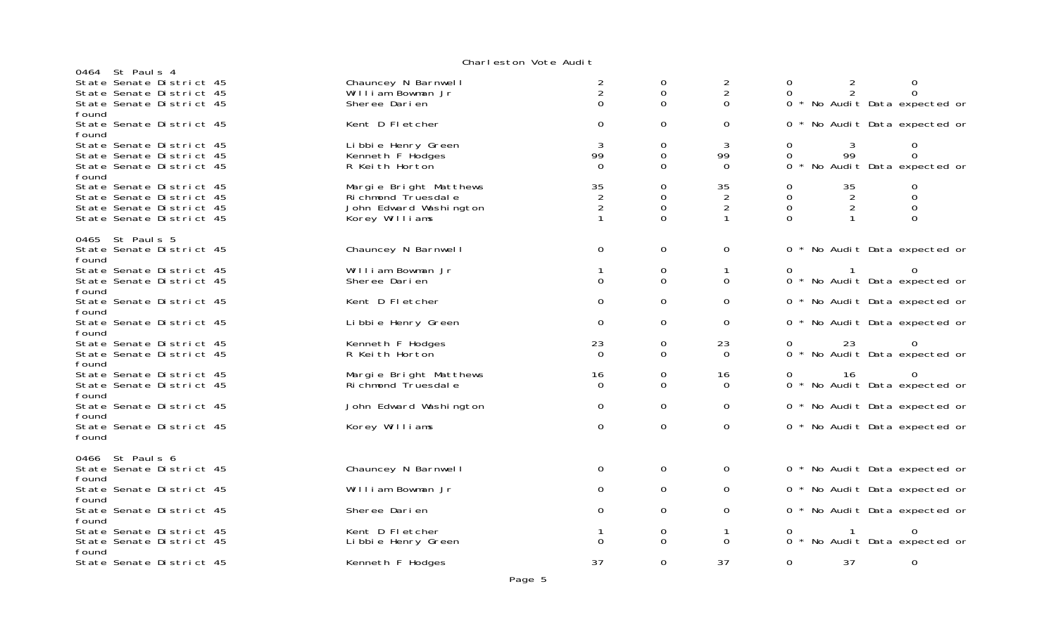#### Charleston Vote Audi t

|       | 0464 St Paul s 4                                     |                                              |                                 |             |                                 |              |                      |                               |  |
|-------|------------------------------------------------------|----------------------------------------------|---------------------------------|-------------|---------------------------------|--------------|----------------------|-------------------------------|--|
|       | State Senate District 45<br>State Senate District 45 | Chauncey N Barnwell<br>William Bowman Jr     | 2<br>$\overline{2}$<br>$\Omega$ | 0<br>0<br>0 | 2<br>$\overline{2}$<br>$\Omega$ | 0<br>0       | $\overline{2}$<br>2  | 0                             |  |
| found | State Senate District 45                             | Sheree Darien                                |                                 |             |                                 |              |                      | 0 * No Audit Data expected or |  |
| found | State Senate District 45                             | Kent D Fletcher                              | $\Omega$                        | 0           | $\Omega$                        |              |                      | 0 * No Audit Data expected or |  |
|       | State Senate District 45<br>State Senate District 45 | Li bbi e Henry Green<br>Kenneth F Hodges     | 3<br>99                         | 0<br>0      | 3<br>99                         | 0<br>0       | 3<br>99              | 0<br>$\mathbf{O}$             |  |
| found | State Senate District 45                             | R Keith Horton                               | $\Omega$                        | $\Omega$    | $\mathbf 0$                     |              |                      | 0 * No Audit Data expected or |  |
|       | State Senate District 45<br>State Senate District 45 | Margie Bright Matthews<br>Richmond Truesdale | 35<br>$\overline{2}$            | 0<br>0      | 35<br>$\overline{2}$            | 0<br>0       | 35<br>$\overline{2}$ | 0<br>0                        |  |
|       | State Senate District 45                             | John Edward Washington                       | $\overline{2}$                  | $\Omega$    | 2                               | $\mathbf 0$  | $\overline{2}$       | 0                             |  |
|       | State Senate District 45                             | Korey Williams                               |                                 | $\Omega$    |                                 | $\Omega$     |                      | $\Omega$                      |  |
|       | 0465 St Paul s 5                                     |                                              |                                 |             |                                 |              |                      |                               |  |
| found | State Senate District 45                             | Chauncey N Barnwell                          | $\Omega$                        | 0           | 0                               |              |                      | 0 * No Audit Data expected or |  |
|       | State Senate District 45                             | William Bowman Jr                            |                                 | 0           | $\mathbf{1}$                    | $\mathbf{0}$ |                      |                               |  |
| found | State Senate District 45                             | Sheree Darien                                | $\Omega$                        | $\mathbf 0$ | $\Omega$                        |              |                      | 0 * No Audit Data expected or |  |
|       | State Senate District 45                             | Kent D Fletcher                              | 0                               | 0           | 0                               |              |                      | 0 * No Audit Data expected or |  |
| found | State Senate District 45                             | Li bbi e Henry Green                         | 0                               | 0           | 0                               |              |                      | 0 * No Audit Data expected or |  |
| found |                                                      | Kenneth F Hodges                             | 23                              |             | 23                              |              | 23                   |                               |  |
|       | State Senate District 45<br>State Senate District 45 | R Keith Horton                               | $\Omega$                        | 0<br>0      | $\Omega$                        | 0            |                      | 0 * No Audit Data expected or |  |
| found |                                                      |                                              |                                 |             |                                 |              |                      |                               |  |
|       | State Senate District 45                             | Margie Bright Matthews                       | 16                              | 0           | 16                              | O            | 16                   | $\Omega$                      |  |
| found | State Senate District 45                             | Ri chmond Truesdal e                         | $\Omega$                        | $\Omega$    | $\Omega$                        |              |                      | 0 * No Audit Data expected or |  |
| found | State Senate District 45                             | John Edward Washington                       | 0                               | 0           | 0                               |              |                      | 0 * No Audit Data expected or |  |
| found | State Senate District 45                             | Korey Williams                               | 0                               | 0           | $\mathbf 0$                     |              |                      | 0 * No Audit Data expected or |  |
|       | 0466 St Pauls 6                                      |                                              |                                 |             |                                 |              |                      |                               |  |
| found | State Senate District 45                             | Chauncey N Barnwell                          | 0                               | $\mathbf 0$ | $\mathbf 0$                     |              |                      | 0 * No Audit Data expected or |  |
| found | State Senate District 45                             | William Bowman Jr                            | 0                               | 0           | 0                               |              |                      | 0 * No Audit Data expected or |  |
|       | State Senate District 45                             | Sheree Darien                                | 0                               | 0           | 0                               |              |                      | 0 * No Audit Data expected or |  |
| found | State Senate District 45                             | Kent D Fletcher                              |                                 | 0           | $\mathbf{1}$                    |              |                      |                               |  |
|       | State Senate District 45                             | Libbie Henry Green                           | $\Omega$                        | $\Omega$    | $\Omega$                        |              |                      | 0 * No Audit Data expected or |  |
| found | State Senate District 45                             | Kenneth F Hodges                             | 37                              | 0           | 37                              | 0            | 37                   | 0                             |  |
|       |                                                      |                                              |                                 |             |                                 |              |                      |                               |  |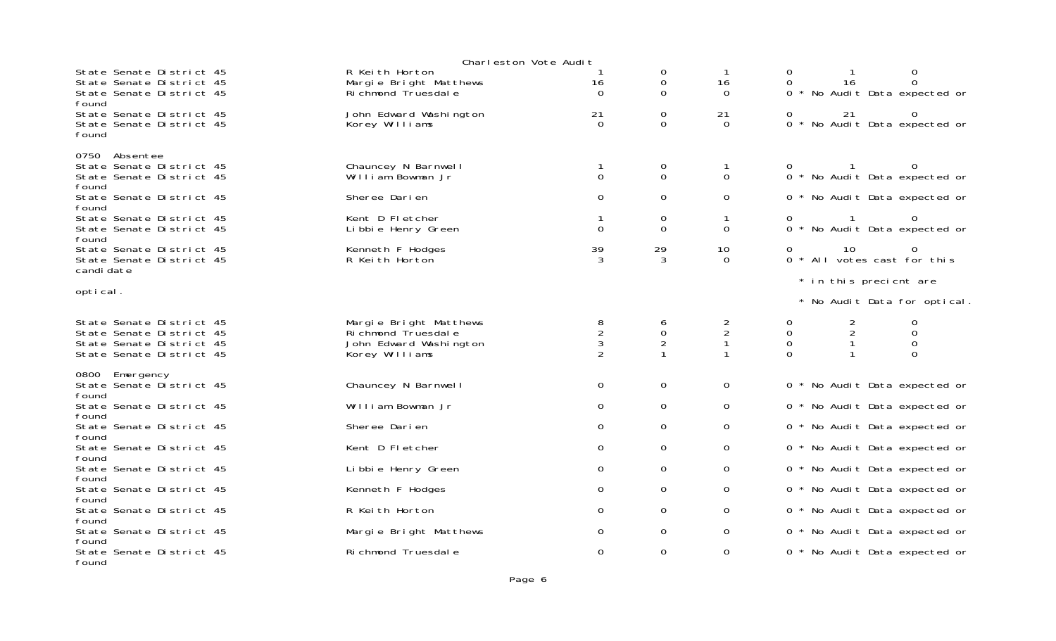|                                                                                                              | Charleston Vote Audit                                                                      |                                                       |                          |                                                  |                                             |                                                                                          |
|--------------------------------------------------------------------------------------------------------------|--------------------------------------------------------------------------------------------|-------------------------------------------------------|--------------------------|--------------------------------------------------|---------------------------------------------|------------------------------------------------------------------------------------------|
| State Senate District 45<br>State Senate District 45<br>State Senate District 45<br>found                    | R Keith Horton<br>Margie Bright Matthews<br>Ri chmond Truesdal e                           | 16<br>$\Omega$                                        | 0<br>0<br>0              | $\mathbf{1}$<br>16<br>$\Omega$                   | 0<br>$\Omega$                               | 0<br>16<br>$\Omega$<br>0 * No Audit Data expected or                                     |
| State Senate District 45<br>State Senate District 45<br>found                                                | John Edward Washington<br>Korey Williams                                                   | 21<br>$\Omega$                                        | 0<br>$\Omega$            | 21<br>$\Omega$                                   | 0                                           | 21<br>0 * No Audit Data expected or                                                      |
| 0750 Absentee<br>State Senate District 45<br>State Senate District 45<br>found                               | Chauncey N Barnwell<br>William Bowman Jr                                                   | $\Omega$                                              | 0<br>$\Omega$            | 1<br>$\overline{0}$                              |                                             | 0 * No Audit Data expected or                                                            |
| State Senate District 45                                                                                     | Sheree Darien                                                                              | $\Omega$                                              | 0                        | 0                                                |                                             | 0 * No Audit Data expected or                                                            |
| found<br>State Senate District 45<br>State Senate District 45<br>found                                       | Kent D Fletcher<br>Li bbi e Henry Green                                                    | $\Omega$                                              | 0<br>0                   | 1<br>0                                           | 0                                           | 0 * No Audit Data expected or                                                            |
| State Senate District 45<br>State Senate District 45<br>candi date                                           | Kenneth F Hodges<br>R Keith Horton                                                         | 39<br>3                                               | 29<br>3                  | 10<br>$\Omega$                                   | 0                                           | 10<br>0<br>0 * All votes cast for this                                                   |
|                                                                                                              |                                                                                            |                                                       |                          |                                                  |                                             | * in this precient are                                                                   |
| optical.                                                                                                     |                                                                                            |                                                       |                          |                                                  |                                             | * No Audit Data for optical.                                                             |
| State Senate District 45<br>State Senate District 45<br>State Senate District 45<br>State Senate District 45 | Margie Bright Matthews<br>Ri chmond Truesdal e<br>John Edward Washington<br>Korey Williams | 8<br>$\overline{c}$<br>$\mathbf{3}$<br>$\overline{2}$ | 6<br>0<br>$\overline{2}$ | $\overline{c}$<br>$\overline{c}$<br>$\mathbf{1}$ | 0<br>$\mathbf 0$<br>$\mathbf 0$<br>$\Omega$ | 0<br>$\overline{c}$<br>$\sqrt{2}$<br>$\Omega$<br>$\mathbf 0$<br>$\mathbf{1}$<br>$\Omega$ |
| 0800 Emergency<br>State Senate District 45<br>found                                                          | Chauncey N Barnwell                                                                        | $\mathbf 0$                                           | 0                        | 0                                                |                                             | 0 * No Audit Data expected or                                                            |
| State Senate District 45                                                                                     | William Bowman Jr                                                                          | 0                                                     | 0                        | 0                                                |                                             | 0 * No Audit Data expected or                                                            |
| found<br>State Senate District 45                                                                            | Sheree Darien                                                                              | $\Omega$                                              | 0                        | $\mathbf{O}$                                     |                                             | 0 * No Audit Data expected or                                                            |
| found<br>State Senate District 45                                                                            | Kent D Fletcher                                                                            | $\Omega$                                              | 0                        | $\mathbf{O}$                                     |                                             | 0 * No Audit Data expected or                                                            |
| found<br>State Senate District 45                                                                            | Li bbi e Henry Green                                                                       | $\Omega$                                              | 0                        | 0                                                |                                             | 0 * No Audit Data expected or                                                            |
| found<br>State Senate District 45                                                                            | Kenneth F Hodges                                                                           | 0                                                     | 0                        | $\mathbf 0$                                      |                                             | 0 * No Audit Data expected or                                                            |
| found<br>State Senate District 45                                                                            | R Keith Horton                                                                             | 0                                                     | 0                        | 0                                                |                                             | 0 * No Audit Data expected or                                                            |
| found<br>State Senate District 45                                                                            | Margie Bright Matthews                                                                     | 0                                                     | 0                        | $\mathbf 0$                                      |                                             | 0 * No Audit Data expected or                                                            |
| found                                                                                                        |                                                                                            |                                                       |                          |                                                  |                                             |                                                                                          |
| State Senate District 45<br>found                                                                            | Richmond Truesdale                                                                         | 0                                                     | 0                        | 0                                                |                                             | 0 * No Audit Data expected or                                                            |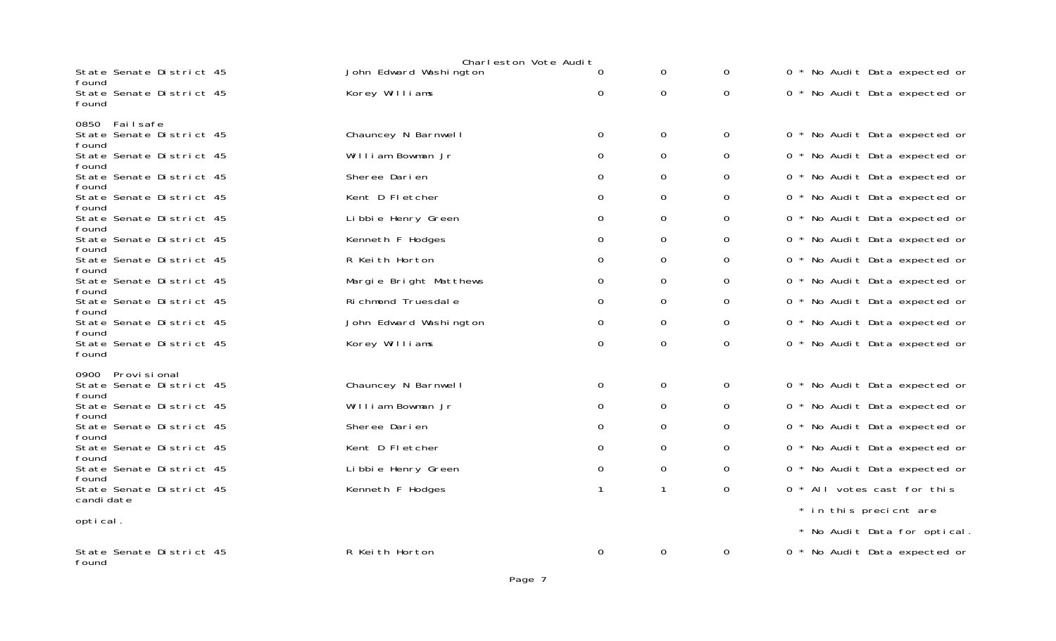|                                            | Charleston Vote Audit  |   |   |                |                        |                               |  |
|--------------------------------------------|------------------------|---|---|----------------|------------------------|-------------------------------|--|
| State Senate District 45<br>found          | John Edward Washington | 0 | 0 | 0              |                        | 0 * No Audit Data expected or |  |
| State Senate District 45<br>found          | Korey Williams         | 0 | 0 | $\mathbf{O}$   |                        | 0 * No Audit Data expected or |  |
| 0850 Failsafe                              |                        |   |   |                |                        |                               |  |
| State Senate District 45<br>found          | Chauncey N Barnwell    | 0 | 0 | $\mathbf 0$    |                        | 0 * No Audit Data expected or |  |
| State Senate District 45<br>found          | William Bowman Jr      | 0 | 0 | $\mathbf{O}$   |                        | 0 * No Audit Data expected or |  |
| State Senate District 45                   | Sheree Darien          | 0 | 0 | $\mathbf{O}$   |                        | 0 * No Audit Data expected or |  |
| found<br>State Senate District 45          | Kent D Fletcher        | 0 | 0 | $\mathbf{O}$   |                        | 0 * No Audit Data expected or |  |
| found<br>State Senate District 45          | Li bbi e Henry Green   | 0 | 0 | $\mathbf{O}$   |                        | 0 * No Audit Data expected or |  |
| found<br>State Senate District 45          | Kenneth F Hodges       | 0 | 0 | 0              |                        | 0 * No Audit Data expected or |  |
| found<br>State Senate District 45          | R Keith Horton         | 0 | 0 | 0              |                        | 0 * No Audit Data expected or |  |
| found<br>State Senate District 45          | Margie Bright Matthews | 0 | 0 | $\mathbf 0$    |                        | 0 * No Audit Data expected or |  |
| found<br>State Senate District 45          | Richmond Truesdale     | 0 | 0 | $\mathsf{O}$   |                        | 0 * No Audit Data expected or |  |
| found<br>State Senate District 45          | John Edward Washington | 0 | 0 | 0              |                        | 0 * No Audit Data expected or |  |
| found<br>State Senate District 45<br>found | Korey Williams         | 0 | 0 | $\mathsf{O}$   |                        | 0 * No Audit Data expected or |  |
| Provi si onal<br>0900                      | Chauncey N Barnwell    |   |   |                |                        |                               |  |
| State Senate District 45<br>found          |                        | 0 | 0 | $\mathsf{O}$   |                        | 0 * No Audit Data expected or |  |
| State Senate District 45<br>found          | William Bowman Jr      | 0 | 0 | 0              |                        | 0 * No Audit Data expected or |  |
| State Senate District 45<br>found          | Sheree Darien          | 0 | 0 | 0              |                        | 0 * No Audit Data expected or |  |
| State Senate District 45<br>found          | Kent D Fletcher        | 0 | 0 | $\mathsf{O}$   |                        | 0 * No Audit Data expected or |  |
| State Senate District 45<br>found          | Li bbi e Henry Green   | 0 | 0 | 0              |                        | 0 * No Audit Data expected or |  |
| State Senate District 45<br>candi date     | Kenneth F Hodges       |   | 1 | $\overline{O}$ |                        | 0 * All votes cast for this   |  |
| optical.                                   |                        |   |   |                | * in this precient are | * No Audit Data for optical.  |  |
| State Senate District 45<br>found          | R Keith Horton         | 0 | 0 | 0              |                        | 0 * No Audit Data expected or |  |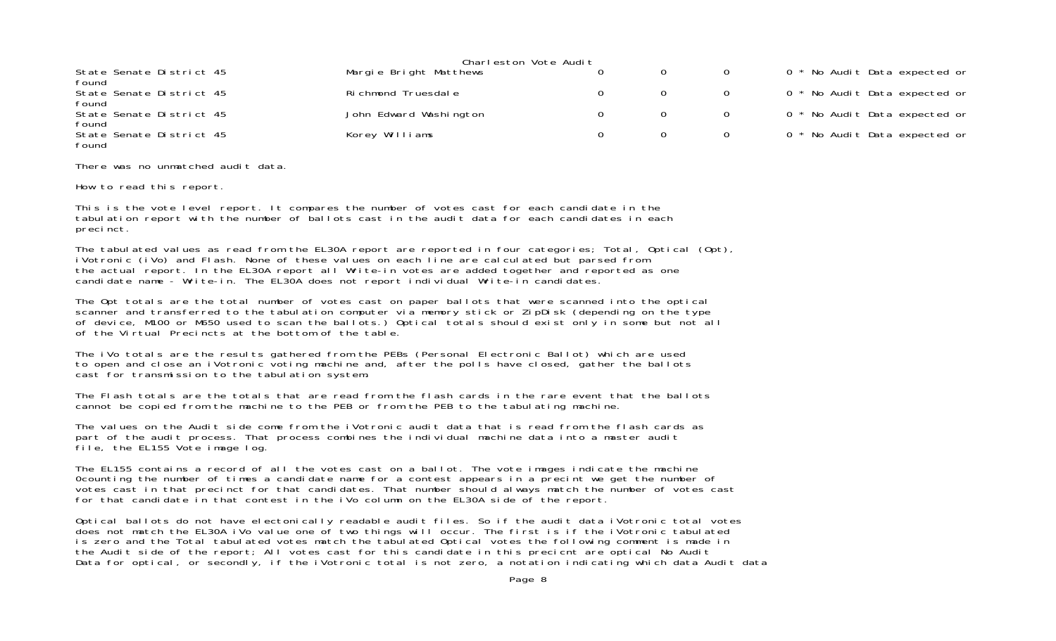|                                   | Charleston Vote Audit  |  |    |                               |
|-----------------------------------|------------------------|--|----|-------------------------------|
| State Senate District 45<br>found | Margie Bright Matthews |  | 0  | 0 * No Audit Data expected or |
| State Senate District 45<br>found | Richmond Truesdale     |  |    | 0 * No Audit Data expected or |
| State Senate District 45<br>found | John Edward Washington |  | O. | 0 * No Audit Data expected or |
| State Senate District 45<br>found | Korey Williams         |  |    | 0 * No Audit Data expected or |

There was no unmatched audit data.

How to read this report.

This is the vote level report. It compares the number of votes cast for each candidate in the tabulation report with the number of ballots cast in the audit data for each candidates in each precinct.

The tabulated values as read from the EL30A report are reported in four categories; Total, Optical (Opt), iVotronic (iVo) and Flash. None of these values on each line are calculated but parsed from the actual report. In the EL30A report all Write-in votes are added together and reported as one candidate name - Write-in. The EL30A does not report individual Write-in candidates.

The Opt totals are the total number of votes cast on paper ballots that were scanned into the optical scanner and transferred to the tabulation computer via memory stick or ZipDisk (depending on the type of device, M100 or M650 used to scan the ballots.) Optical totals should exist only in some but not all of the Virtual Precincts at the bottom of the table.

The iVo totals are the results gathered from the PEBs (Personal Electronic Ballot) which are used to open and close an iVotronic voting machine and, after the polls have closed, gather the ballots cast for transmission to the tabulation system.

The Flash totals are the totals that are read from the flash cards in the rare event that the ballotscannot be copied from the machine to the PEB or from the PEB to the tabulating machine.

The values on the Audit side come from the iVotronic audit data that is read from the flash cards as part of the audit process. That process combines the individual machine data into a master audit file, the EL155 Vote image log.

The EL155 contains a record of all the votes cast on a ballot. The vote images indicate the machine 0counting the number of times a candidate name for a contest appears in a precint we get the number of votes cast in that precinct for that candidates. That number should always match the number of votes cast for that candidate in that contest in the iVo column on the EL30A side of the report.

Optical ballots do not have electonically readable audit files. So if the audit data iVotronic total votes does not match the EL30A iVo value one of two things will occur. The first is if the iVotronic tabulated is zero and the Total tabulated votes match the tabulated Optical votes the following comment is made in the Audit side of the report; All votes cast for this candidate in this precicnt are optical No Audit Data for optical, or secondly, if the iVotronic total is not zero, a notation indicating which data Audit data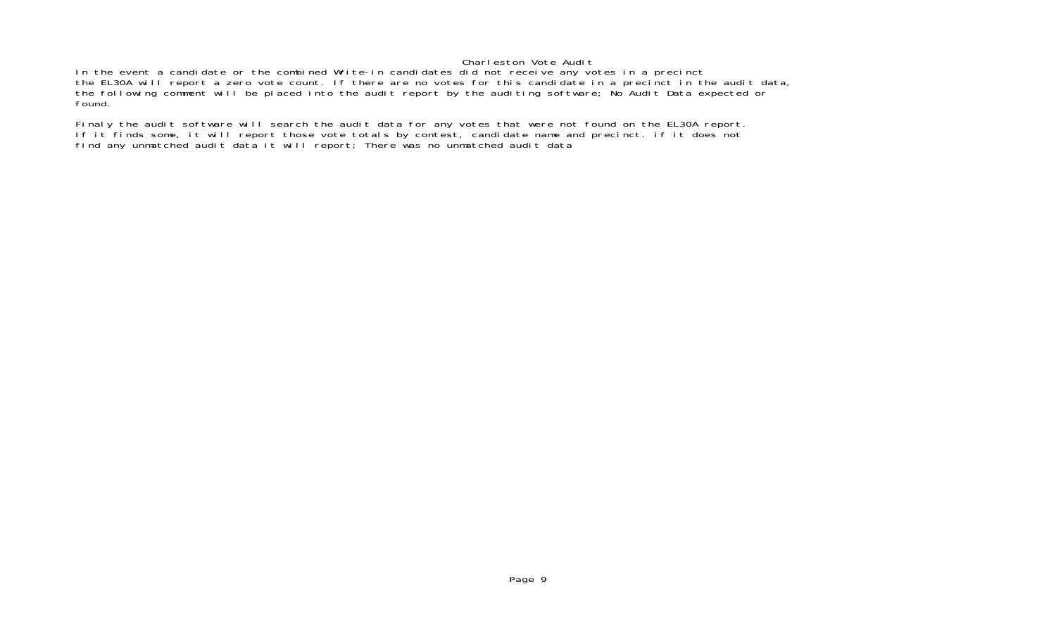#### Charleston Vote Audit

In the event a candidate or the combined Write-in candidates did not receive any votes in a precinct the EL30A will report a zero vote count. If there are no votes for this candidate in a precinct in the audit data, the following comment will be placed into the audit report by the auditing software; No Audit Data expected or found.

Finaly the audit software will search the audit data for any votes that were not found on the EL30A report. If it finds some, it will report those vote totals by contest, candidate name and precinct. if it does not find any unmatched audit data it will report; There was no unmatched audit data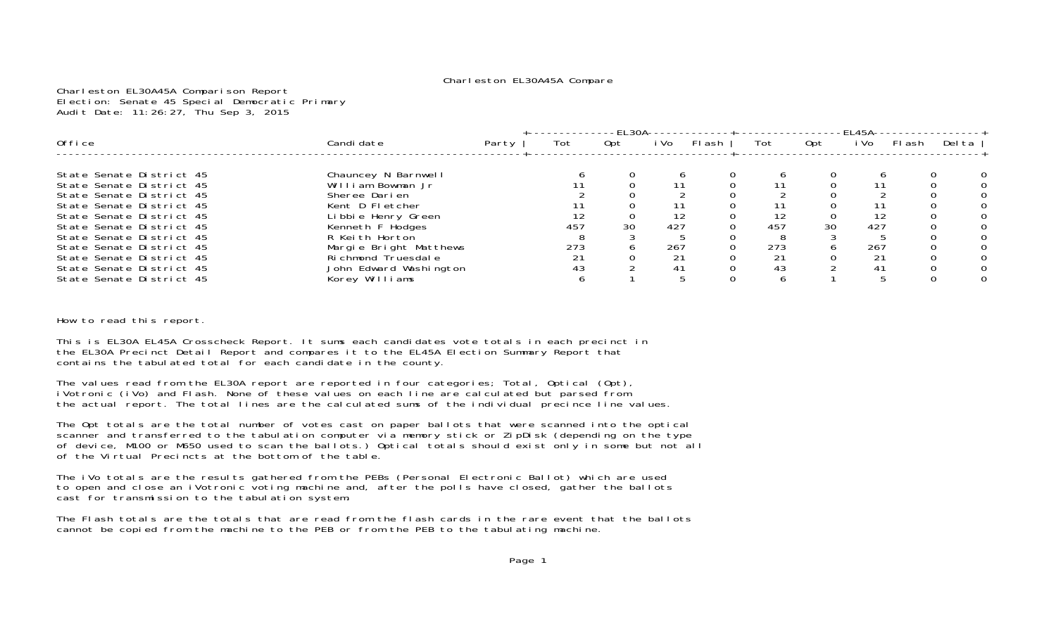#### Charleston EL30A45A Compare

Charleston EL30A45A Comparison Report Election: Senate 45 Special Democratic Primary Audit Date: 11:26:27, Thu Sep 3, 2015

|                          |                        |       |     | $-EL30A$ |      |       |     |     | -EL45A- |        |        |
|--------------------------|------------------------|-------|-----|----------|------|-------|-----|-----|---------|--------|--------|
| 0ffice                   | Candi date             | Party | Tot | Opt      | i Vo | Flash | Tot | Opt | i Vol   | Fl ash | Del ta |
|                          |                        |       |     |          |      |       |     |     |         |        |        |
| State Senate District 45 | Chauncey N Barnwell    |       |     |          |      |       |     |     |         |        |        |
| State Senate District 45 | William Bowman Jr      |       |     |          |      |       |     |     |         |        |        |
| State Senate District 45 | Sheree Darien          |       |     |          |      |       |     |     |         |        |        |
| State Senate District 45 | Kent D Fletcher        |       |     |          |      |       |     |     |         |        |        |
| State Senate District 45 | Libbie Henry Green     |       |     |          | 12   |       |     |     | 12      |        |        |
| State Senate District 45 | Kenneth F Hodges       |       | 457 | 30       | 427  |       | 457 | 30  | 427     |        |        |
| State Senate District 45 | R Keith Horton         |       |     |          |      |       |     |     |         |        |        |
| State Senate District 45 | Margie Bright Matthews |       | 273 |          | 267  |       | 273 |     | 267     |        |        |
| State Senate District 45 | Richmond Truesdale     |       |     |          | 21   |       |     |     | 21      |        |        |
| State Senate District 45 | John Edward Washington |       | 43  |          | 41   |       | 43  |     | 41      |        |        |
| State Senate District 45 | Korey Williams         |       |     |          |      |       |     |     |         |        |        |

How to read this report.

This is EL30A EL45A Crosscheck Report. It sums each candidates vote totals in each precinct in the EL30A Precinct Detail Report and compares it to the EL45A Election Summary Report that contains the tabulated total for each candidate in the county.

The values read from the EL30A report are reported in four categories; Total, Optical (Opt), iVotronic (iVo) and Flash. None of these values on each line are calculated but parsed from the actual report. The total lines are the calculated sums of the individual precince line values.

The Opt totals are the total number of votes cast on paper ballots that were scanned into the optical scanner and transferred to the tabulation computer via memory stick or ZipDisk (depending on the type of device, M100 or M650 used to scan the ballots.) Optical totals should exist only in some but not all of the Virtual Precincts at the bottom of the table.

The iVo totals are the results gathered from the PEBs (Personal Electronic Ballot) which are used to open and close an iVotronic voting machine and, after the polls have closed, gather the ballots cast for transmission to the tabulation system.

The Flash totals are the totals that are read from the flash cards in the rare event that the ballotscannot be copied from the machine to the PEB or from the PEB to the tabulating machine.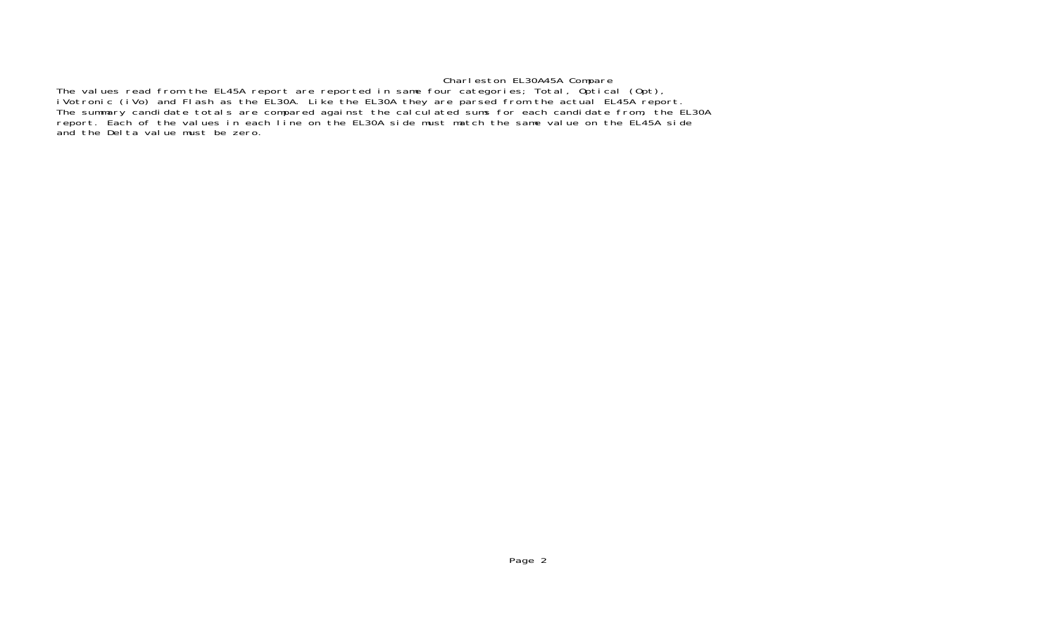### Charleston EL30A45A Compare

The values read from the EL45A report are reported in same four categories; Total, Optical (Opt), iVotronic (iVo) and Flash as the EL30A. Like the EL30A they are parsed from the actual EL45A report The summary candidate totals are compared against the calculated sums for each candidate from, the EL30A report. Each of the values in each line on the EL30A side must match the same value on the EL45A side and the Delta value must be zero.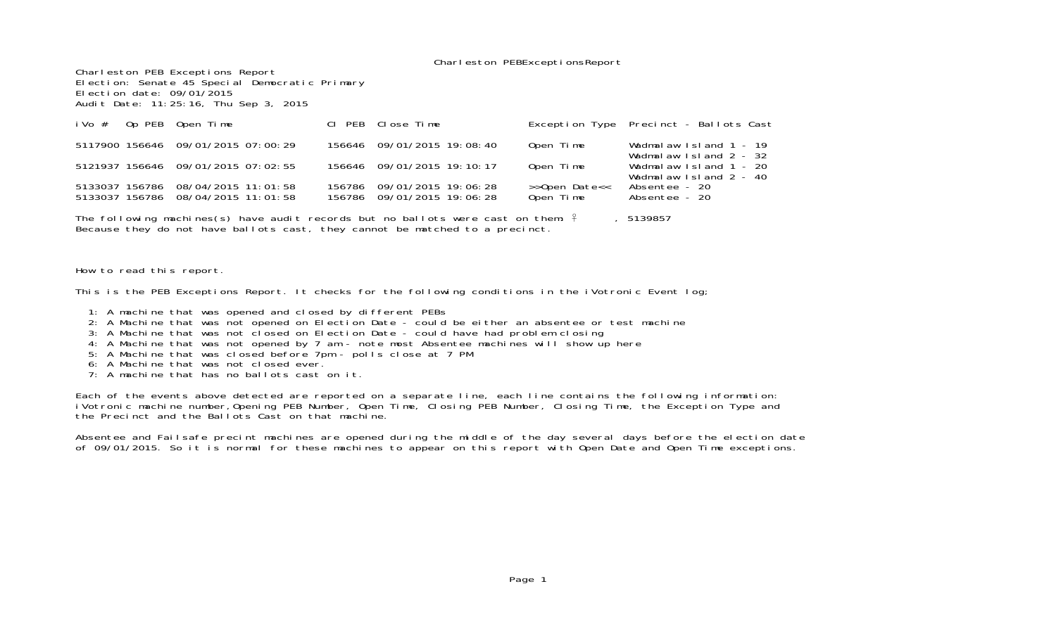#### Charleston PEBExceptionsReport

Charleston PEB Exceptions Report Election: Senate 45 Special Democratic Primary Election date: 09/01/2015Audit Date: 11:25:16, Thu Sep 3, 2015

| iVo $#$ Op PEB Open Time |                                                                          |        | CI PEB Close Time                                 |                            | Exception Type Precinct - Ballots Cast             |
|--------------------------|--------------------------------------------------------------------------|--------|---------------------------------------------------|----------------------------|----------------------------------------------------|
|                          | 5117900 156646 09/01/2015 07:00:29                                       |        | 156646 09/01/2015 19:08:40                        | Open Time                  | Wadmalaw Island 1 - 19<br>Wadmalaw Island 2 - 32   |
|                          | 5121937 156646 09/01/2015 07:02:55                                       |        | 156646 09/01/2015 19:10:17                        | Open Time                  | Wadmalaw Island $1 - 20$<br>Wadmalaw Island 2 - 40 |
|                          | 5133037 156786 08/04/2015 11:01:58<br>5133037 156786 08/04/2015 11:01:58 | 156786 | 09/01/2015 19:06:28<br>156786 09/01/2015 19:06:28 | >>Open Date<<<br>Open Time | Absentee - 20<br>Absentee - 20                     |

The following machines(s) have audit records but no ballots were cast on them:  $\frac{2}{7}$ , 5139857 Because they do not have ballots cast, they cannot be matched to a precinct.

How to read this report.

This is the PEB Exceptions Report. It checks for the following conditions in the iVotronic Event log;

- 1: A machine that was opened and closed by different PEBs
- 2: A Machine that was not opened on Election Date could be either an absentee or test machine
- 3: A Machine that was not closed on Election Date could have had problem closing
- 4: A Machine that was not opened by 7 am note most Absentee machines will show up here
- 5: A Machine that was closed before 7pm polls close at 7 PM
- 6: A Machine that was not closed ever.
- 7: A machine that has no ballots cast on it.

Each of the events above detected are reported on a separate line, each line contains the following information: iVotronic machine number,Opening PEB Number, Open Time, Closing PEB Number, Closing Time, the Exception Type and the Precinct and the Ballots Cast on that machine.

Absentee and Failsafe precint machines are opened during the middle of the day several days before the election date of 09/01/2015. So it is normal for these machines to appear on this report with Open Date and Open Time exceptions.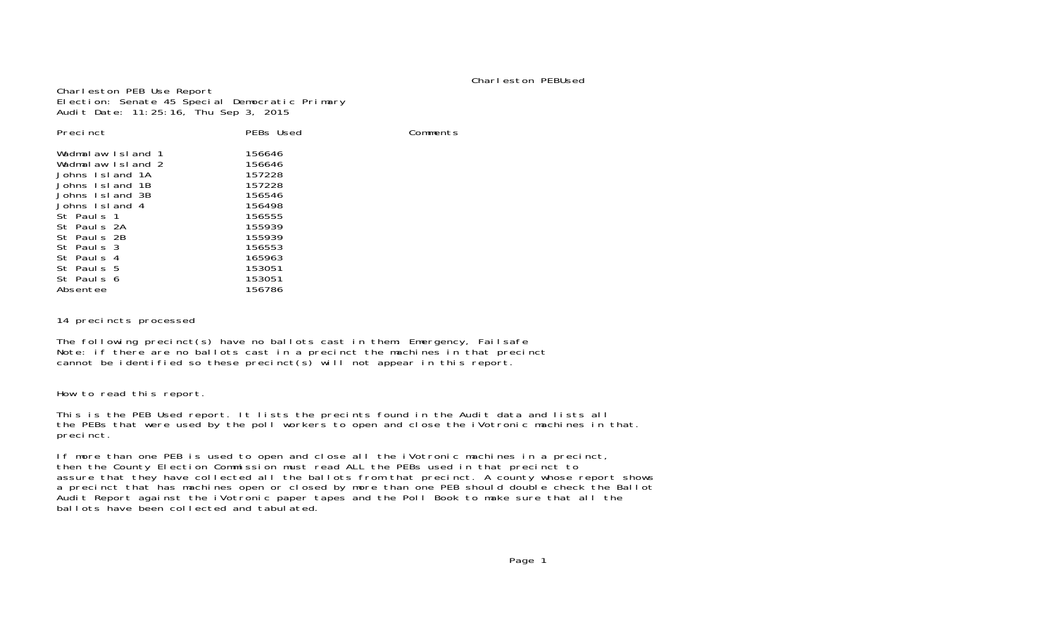#### Charleston PEBUsed

Comments

Charleston PEB Use Report Election: Senate 45 Special Democratic Primary Audit Date: 11:25:16, Thu Sep 3, 2015

| Precinct                               | PEBs Used        |  |
|----------------------------------------|------------------|--|
| Wadmalaw Island 1<br>Wadmalaw Island 2 | 156646<br>156646 |  |
| Johns Island 1A                        | 157228           |  |
| Johns Island 1B                        | 157228           |  |
| Johns Island 3B                        | 156546           |  |
| Johns Island 4                         | 156498           |  |
| St Pauls 1                             | 156555           |  |
| St Pauls 2A                            | 155939           |  |
| St Pauls 2B                            | 155939           |  |
| St Pauls 3                             | 156553           |  |
| St Pauls 4                             | 165963           |  |
| St Pauls 5                             | 153051           |  |
| St Pauls 6                             | 153051           |  |
| Absentee                               | 156786           |  |

14 precincts processed

The following precinct(s) have no ballots cast in them: Emergency, Failsafe Note: if there are no ballots cast in a precinct the machines in that precinct cannot be identified so these precinct(s) will not appear in this report.

How to read this report.

This is the PEB Used report. It lists the precints found in the Audit data and lists all the PEBs that were used by the poll workers to open and close the iVotronic machines in that. precinct.

If more than one PEB is used to open and close all the iVotronic machines in a precinct, then the County Election Commission must read ALL the PEBs used in that precinct to assure that they have collected all the ballots from that precinct. A county whose report shows a precinct that has machines open or closed by more than one PEB should double check the Ballot Audit Report against the iVotronic paper tapes and the Poll Book to make sure that all the ballots have been collected and tabulated.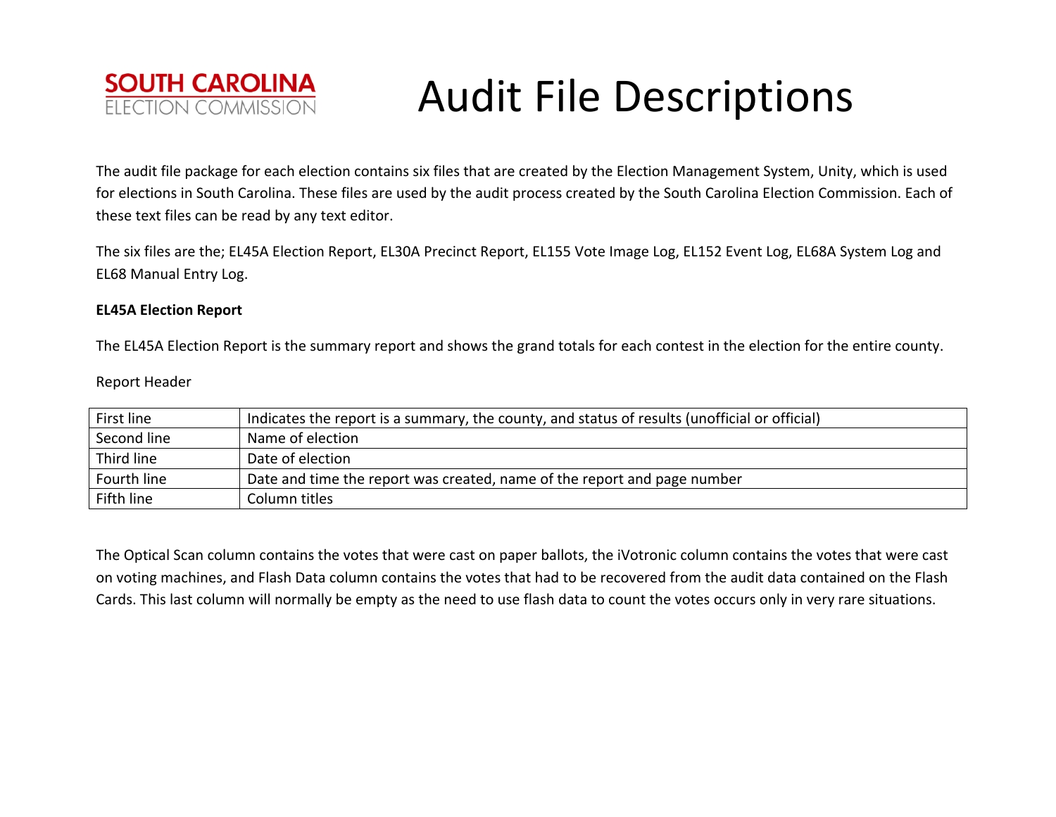

The audit file package for each election contains six files that are created by the Election Management System, Unity, which is used for elections in South Carolina. These files are used by the audit process created by the South Carolina Election Commission. Each of these text files can be read by any text editor.

The six files are the; EL45A Election Report, EL30A Precinct Report, EL155 Vote Image Log, EL152 Event Log, EL68A System Log and EL68 Manual Entry Log.

### **EL45A Election Report**

The EL45A Election Report is the summary report and shows the grand totals for each contest in the election for the entire county.

### Report Header

| First line  | Indicates the report is a summary, the county, and status of results (unofficial or official) |
|-------------|-----------------------------------------------------------------------------------------------|
| Second line | Name of election                                                                              |
| Third line  | Date of election                                                                              |
| Fourth line | Date and time the report was created, name of the report and page number                      |
| Fifth line  | Column titles                                                                                 |

The Optical Scan column contains the votes that were cast on paper ballots, the iVotronic column contains the votes that were cast on voting machines, and Flash Data column contains the votes that had to be recovered from the audit data contained on the Flash Cards. This last column will normally be empty as the need to use flash data to count the votes occurs only in very rare situations.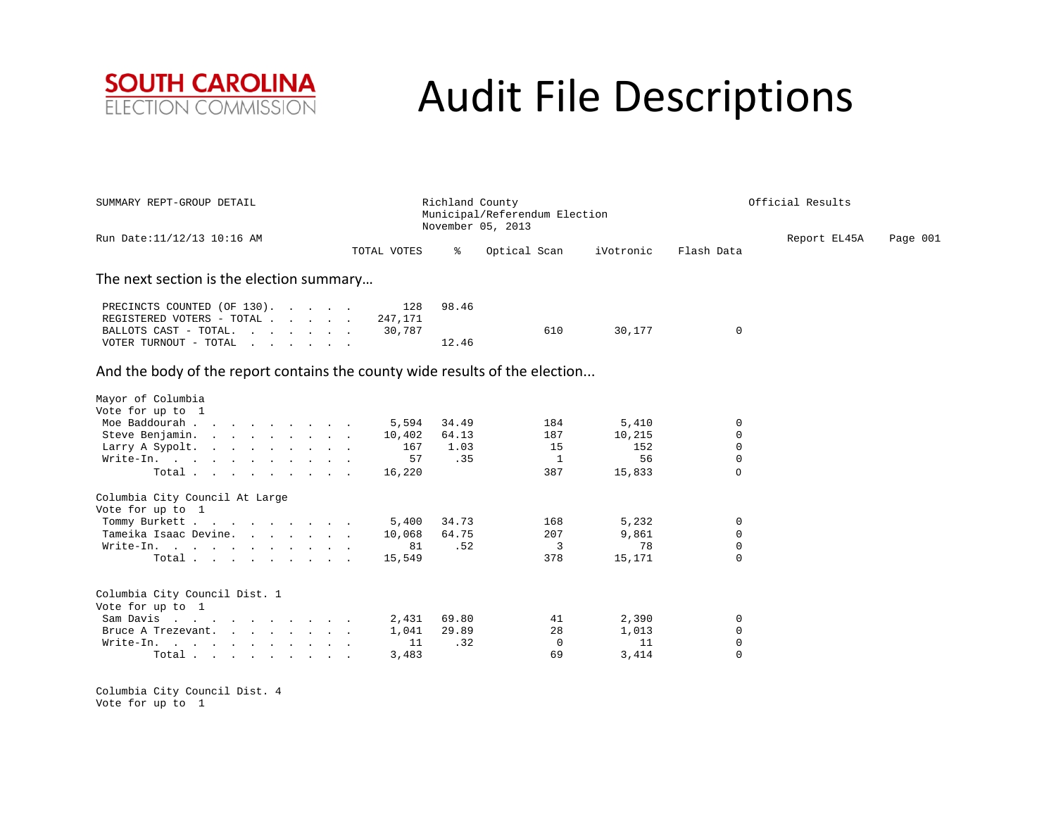

| SUMMARY REPT-GROUP DETAIL  |             | Richland County<br>Municipal/Referendum Election |           | Official Results |              |          |
|----------------------------|-------------|--------------------------------------------------|-----------|------------------|--------------|----------|
| Run Date:11/12/13 10:16 AM | TOTAL VOTES | November 05, 2013<br>Optical Scan                | iVotronic | Flash Data       | Report EL45A | Page 001 |

#### The next section is the election summary…

| PRECINCTS COUNTED (OF 130).       | 128 | 98.46         |
|-----------------------------------|-----|---------------|
| REGISTERED VOTERS - TOTAL 247,171 |     |               |
|                                   |     | 30.177<br>610 |
| VOTER TURNOUT - TOTAL             |     | 12.46         |

### And the body of the report contains the county wide results of the election...

| Mayor of Columbia                |        |       |          |        |             |
|----------------------------------|--------|-------|----------|--------|-------------|
| Vote for up to 1                 |        |       |          |        |             |
| Moe Baddourah                    | 5,594  | 34.49 | 184      | 5,410  | $\Omega$    |
| Steve Benjamin.                  | 10,402 | 64.13 | 187      | 10,215 | $\Omega$    |
| Larry A Sypolt.                  | 167    | 1.03  | 15       | 152    | $\Omega$    |
| Write-In.                        | 57     | .35   |          | 56     | $\Omega$    |
| Total $\cdots$                   | 16,220 |       | 387      | 15,833 | $\Omega$    |
| Columbia City Council At Large   |        |       |          |        |             |
| Vote for up to 1                 |        |       |          |        |             |
| Tommy Burkett                    | 5,400  | 34.73 | 168      | 5,232  | $\Omega$    |
| Tameika Isaac Devine.            | 10,068 | 64.75 | 207      | 9,861  | $\Omega$    |
| Write-In.                        | 81     | .52   | 3        | 78     | $\Omega$    |
| Total                            | 15,549 |       | 378      | 15,171 | $\Omega$    |
| Columbia City Council Dist. 1    |        |       |          |        |             |
| Vote for up to 1                 |        |       |          |        |             |
| Sam Davis                        | 2,431  | 69.80 | 41       | 2,390  | $\Omega$    |
| Bruce A Trezevant.               | 1,041  | 29.89 | 28       | 1,013  | $\Omega$    |
| Write-In.                        | 11     | .32   | $\Omega$ | 11     | $\Omega$    |
| Total $\cdots$ $\cdots$ $\cdots$ | 3,483  |       | 69       | 3,414  | $\mathbf 0$ |

Columbia City Council Dist. 4 Vote for up to 1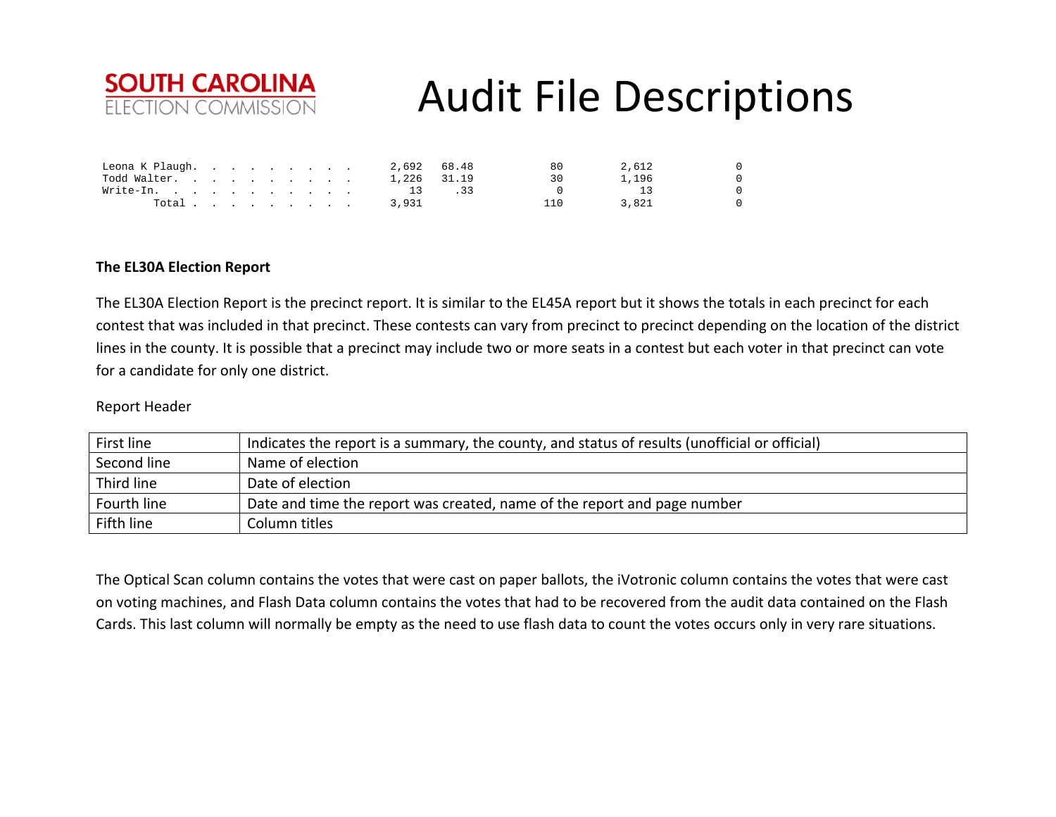

| Leona K Plaugh. |  |  |  |  |       | 2,692 68.48 | 80 | 2,612 | $\Omega$ |
|-----------------|--|--|--|--|-------|-------------|----|-------|----------|
| Todd Walter.    |  |  |  |  |       | 1,226 31.19 |    | 1,196 | $\Omega$ |
| Write-In.       |  |  |  |  | 13    |             |    |       | $\Omega$ |
| Total           |  |  |  |  | 3,931 |             |    | 3,821 |          |

### **The EL30A Election Report**

The EL30A Election Report is the precinct report. It is similar to the EL45A report but it shows the totals in each precinct for each contest that was included in that precinct. These contests can vary from precinct to precinct depending on the location of the district lines in the county. It is possible that <sup>a</sup> precinct may include two or more seats in <sup>a</sup> contest but each voter in that precinct can vote for a candidate for only one district.

### Report Header

| First line  | Indicates the report is a summary, the county, and status of results (unofficial or official) |
|-------------|-----------------------------------------------------------------------------------------------|
| Second line | Name of election                                                                              |
| Third line  | Date of election                                                                              |
| Fourth line | Date and time the report was created, name of the report and page number                      |
| Fifth line  | Column titles                                                                                 |

The Optical Scan column contains the votes that were cast on paper ballots, the iVotronic column contains the votes that were cast on voting machines, and Flash Data column contains the votes that had to be recovered from the audit data contained on the Flash Cards. This last column will normally be empty as the need to use flash data to count the votes occurs only in very rare situations.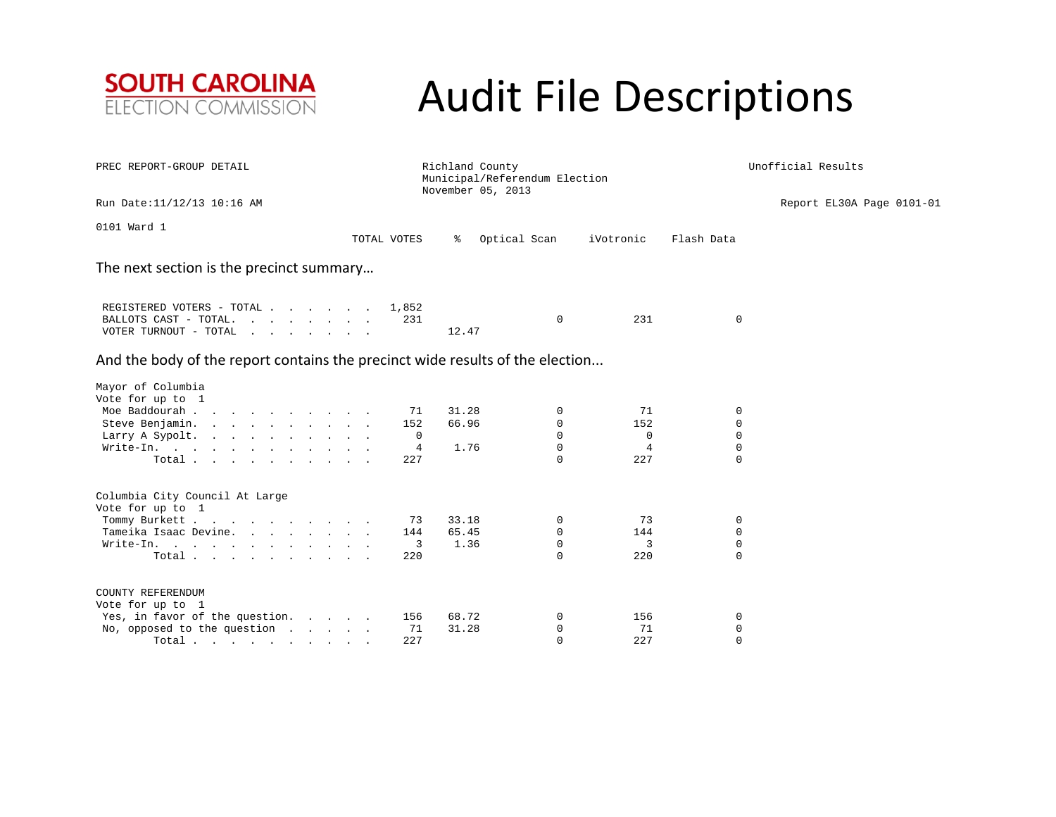

| PREC REPORT-GROUP DETAIL                                                                   | Richland County | Municipal/Referendum Election<br>November 05, 2013 |                                          | Unofficial Results       |                         |                           |  |  |  |  |  |  |  |
|--------------------------------------------------------------------------------------------|-----------------|----------------------------------------------------|------------------------------------------|--------------------------|-------------------------|---------------------------|--|--|--|--|--|--|--|
| Run Date: 11/12/13 10:16 AM                                                                |                 |                                                    |                                          |                          |                         | Report EL30A Page 0101-01 |  |  |  |  |  |  |  |
| 0101 Ward 1                                                                                | TOTAL VOTES     | ႜ                                                  | Optical Scan                             | iVotronic                | Flash Data              |                           |  |  |  |  |  |  |  |
| The next section is the precinct summary                                                   |                 |                                                    |                                          |                          |                         |                           |  |  |  |  |  |  |  |
| REGISTERED VOTERS - TOTAL<br>BALLOTS CAST - TOTAL.<br>VOTER TURNOUT - TOTAL                | 1,852           | 231<br>12.47                                       | $\Omega$                                 | 231                      | $\mathbf 0$             |                           |  |  |  |  |  |  |  |
| And the body of the report contains the precinct wide results of the election              |                 |                                                    |                                          |                          |                         |                           |  |  |  |  |  |  |  |
| Mayor of Columbia<br>Vote for up to 1                                                      |                 |                                                    |                                          |                          |                         |                           |  |  |  |  |  |  |  |
| Moe Baddourah<br>Steve Benjamin.<br>Larry A Sypolt.                                        |                 | 31.28<br>71<br>152<br>66.96<br>0                   | 0<br>0<br>$\Omega$                       | 71<br>152<br>$\mathbf 0$ | 0<br>0<br>$\mathbf 0$   |                           |  |  |  |  |  |  |  |
| Write-In.<br>Total                                                                         |                 | 1.76<br>4<br>227                                   | 0<br>$\cap$                              | 4<br>227                 | $\mathbf 0$<br>$\Omega$ |                           |  |  |  |  |  |  |  |
| Columbia City Council At Large<br>Vote for up to 1                                         |                 |                                                    |                                          |                          |                         |                           |  |  |  |  |  |  |  |
| Tommy Burkett<br>Tameika Isaac Devine.<br>Write-In.<br>Total                               |                 | 33.18<br>73<br>65.45<br>144<br>3<br>1.36<br>220    | 0<br>$\mathbf 0$<br>$\Omega$<br>$\Omega$ | 73<br>144<br>3<br>220    | 0<br>0<br>0<br>$\Omega$ |                           |  |  |  |  |  |  |  |
| COUNTY REFERENDUM                                                                          |                 |                                                    |                                          |                          |                         |                           |  |  |  |  |  |  |  |
| Vote for up to 1<br>Yes, in favor of the question.<br>No, opposed to the question<br>Total |                 | 68.72<br>156<br>71<br>31.28<br>227                 | 0<br>0<br>$\Omega$                       | 156<br>71<br>227         | 0<br>0<br>$\Omega$      |                           |  |  |  |  |  |  |  |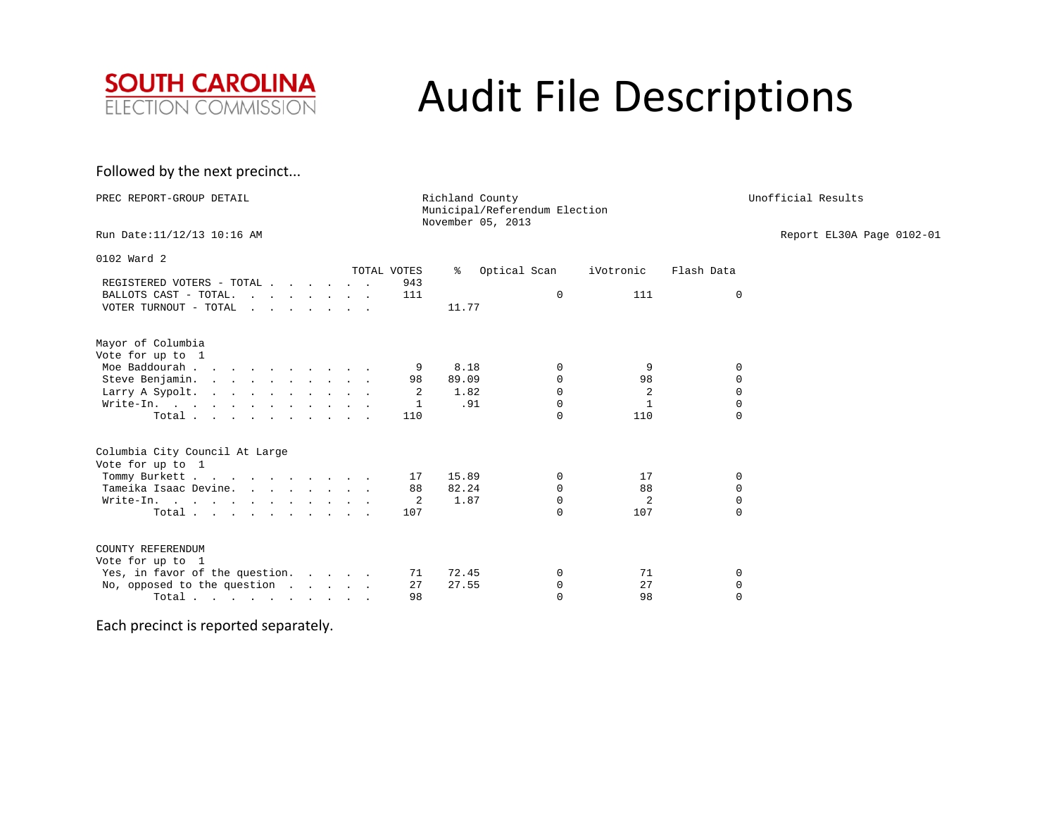

### Followed by the next precinct...

| PREC REPORT-GROUP DETAIL                           |                    | Richland County<br>November 05, 2013 | Municipal/Referendum Election |           | Unofficial Results |                           |  |
|----------------------------------------------------|--------------------|--------------------------------------|-------------------------------|-----------|--------------------|---------------------------|--|
| Run Date: 11/12/13 10:16 AM                        |                    |                                      |                               |           |                    | Report EL30A Page 0102-01 |  |
| 0102 Ward 2                                        |                    |                                      |                               |           |                    |                           |  |
| REGISTERED VOTERS - TOTAL                          | TOTAL VOTES<br>943 | ွေ                                   | Optical Scan                  | iVotronic | Flash Data         |                           |  |
| BALLOTS CAST - TOTAL.                              | 111                |                                      | $\Omega$                      | 111       | $\mathbf 0$        |                           |  |
| VOTER TURNOUT - TOTAL                              |                    | 11.77                                |                               |           |                    |                           |  |
| Mayor of Columbia                                  |                    |                                      |                               |           |                    |                           |  |
| Vote for up to 1<br>Moe Baddourah                  | 9                  | 8.18                                 | $\mathbf 0$                   | 9         | 0                  |                           |  |
| Steve Benjamin.                                    | 98                 | 89.09                                | $\Omega$                      | 98        | $\Omega$           |                           |  |
| Larry A Sypolt.                                    | 2                  | 1.82                                 | $\mathbf 0$                   | 2         | $\mathbf 0$        |                           |  |
| Write-In.                                          | 1                  | .91                                  | $\Omega$                      | 1         | $\mathbf{0}$       |                           |  |
| Total $\cdots$ $\cdots$ $\cdots$ $\cdots$          | 110                |                                      | $\Omega$                      | 110       | $\Omega$           |                           |  |
| Columbia City Council At Large<br>Vote for up to 1 |                    |                                      |                               |           |                    |                           |  |
| Tommy Burkett                                      | 17                 | 15.89                                | $\mathbf 0$                   | 17        | 0                  |                           |  |
| Tameika Isaac Devine.                              | 88                 | 82.24                                | $\Omega$                      | 88        | $\Omega$           |                           |  |
| Write-In.                                          | 2                  | 1.87                                 | $\Omega$                      | 2         | $\mathbf{0}$       |                           |  |
| Total                                              | 107                |                                      | $\Omega$                      | 107       | $\Omega$           |                           |  |
| COUNTY REFERENDUM<br>Vote for up to 1              |                    |                                      |                               |           |                    |                           |  |
| Yes, in favor of the question.                     | 71                 | 72.45                                | $\mathbf 0$                   | 71        | 0                  |                           |  |
| No, opposed to the question $\cdot \cdot \cdot$    | 27                 | 27.55                                | $\mathbf 0$                   | 27        | 0                  |                           |  |
| Total $\cdots$ $\cdots$ $\cdots$ $\cdots$          | 98                 |                                      | $\Omega$                      | 98        | $\Omega$           |                           |  |

Each precinct is reported separately.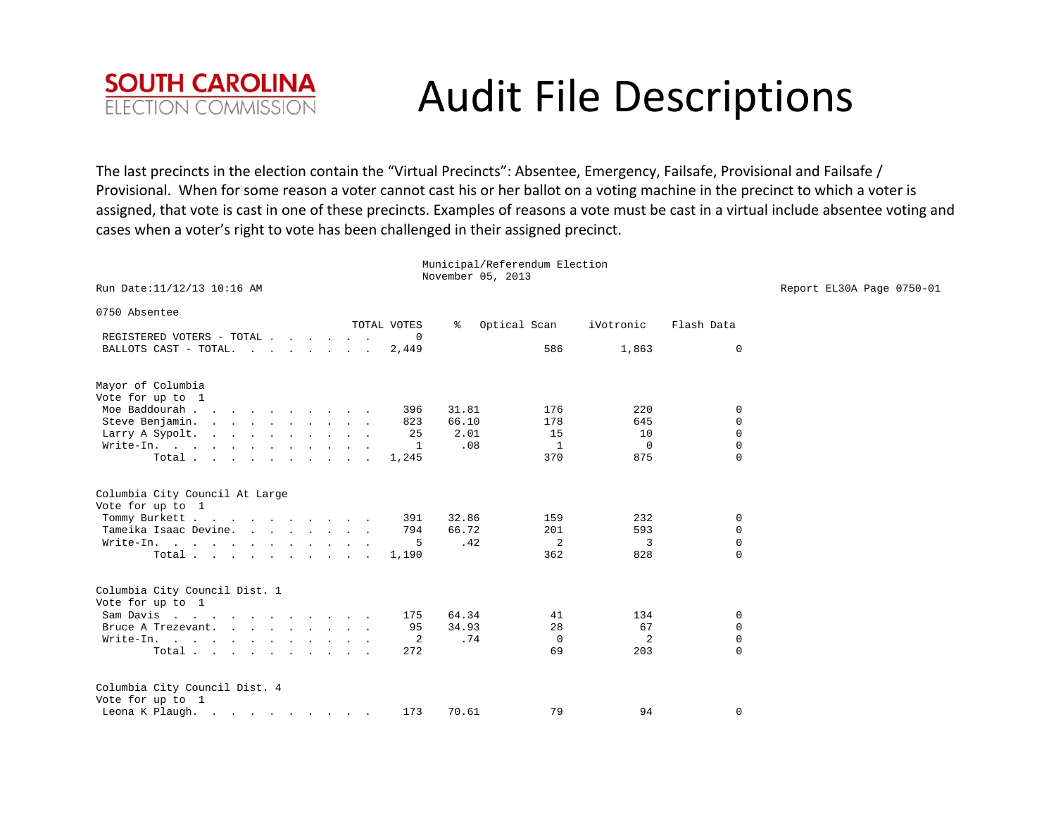

The last precincts in the election contain the "Virtual Precincts": Absentee, Emergency, Failsafe, Provisional and Failsafe / Provisional. When for some reason <sup>a</sup> voter cannot cast his or her ballot on <sup>a</sup> voting machine in the precinct to which <sup>a</sup> voter is assigned, that vote is cast in one of these precincts. Examples of reasons <sup>a</sup> vote must be cast in <sup>a</sup> virtual include absentee voting and cases when <sup>a</sup> voter's right to vote has been challenged in their assigned precinct.

Municipal/Referendum Election

|                                           |              |                   | Municipal/Referendum Election |                |              |                           |
|-------------------------------------------|--------------|-------------------|-------------------------------|----------------|--------------|---------------------------|
|                                           |              | November 05, 2013 |                               |                |              |                           |
| Run Date: 11/12/13 10:16 AM               |              |                   |                               |                |              | Report EL30A Page 0750-01 |
| 0750 Absentee                             |              |                   |                               |                |              |                           |
|                                           | TOTAL VOTES  | ႜ                 | Optical Scan                  | iVotronic      | Flash Data   |                           |
| REGISTERED VOTERS - TOTAL                 |              |                   |                               |                |              |                           |
| BALLOTS CAST - TOTAL.                     | 2,449        |                   | 586                           | 1,863          | 0            |                           |
|                                           |              |                   |                               |                |              |                           |
| Mayor of Columbia                         |              |                   |                               |                |              |                           |
| Vote for up to 1                          |              |                   |                               |                |              |                           |
| Moe Baddourah                             | 396          | 31.81             | 176                           | 220            | $\mathbf 0$  |                           |
| Steve Benjamin.                           | 823          | 66.10             | 178                           | 645            | $\mathbf{0}$ |                           |
| Larry A Sypolt.                           | 25           | 2.01              | 15                            | 10             | $\Omega$     |                           |
| Write-In.                                 | $\mathbf{1}$ | .08               | $\overline{1}$                | $\overline{0}$ | $\mathbf{0}$ |                           |
| Total $\cdots$ $\cdots$ $\cdots$ $\cdots$ | 1,245        |                   | 370                           | 875            | $\mathbf{0}$ |                           |
|                                           |              |                   |                               |                |              |                           |
| Columbia City Council At Large            |              |                   |                               |                |              |                           |
| Vote for up to 1                          |              |                   |                               |                |              |                           |
| Tommy Burkett                             | 391          | 32.86             | 159                           | 232            | $\mathbf 0$  |                           |
| Tameika Isaac Devine.                     | 794          | 66.72             | 201                           | 593            | $\mathbf 0$  |                           |
| Write-In.                                 | 5            | .42               | 2                             | 3              | $\mathbf{0}$ |                           |
| Total $\cdots$ $\cdots$ $\cdots$          | 1,190        |                   | 362                           | 828            | $\mathbf{0}$ |                           |
|                                           |              |                   |                               |                |              |                           |
| Columbia City Council Dist. 1             |              |                   |                               |                |              |                           |
| Vote for up to 1                          |              |                   |                               |                |              |                           |
| Sam Davis                                 | 175          | 64.34             | 41                            | 134            | 0            |                           |
| Bruce A Trezevant.                        | 95           | 34.93             | 28                            | 67             | $\mathbf 0$  |                           |
| Write-In.                                 | 2            | .74               | $\mathbf 0$                   | 2              | $\mathbf 0$  |                           |
| Total $\cdots$ $\cdots$ $\cdots$ $\cdots$ | 272          |                   | 69                            | 203            | $\Omega$     |                           |
|                                           |              |                   |                               |                |              |                           |
| Columbia City Council Dist. 4             |              |                   |                               |                |              |                           |
| Vote for up to 1                          |              |                   |                               |                |              |                           |
| Leona K Plaugh.                           | 173          | 70.61             | 79                            | 94             | $\Omega$     |                           |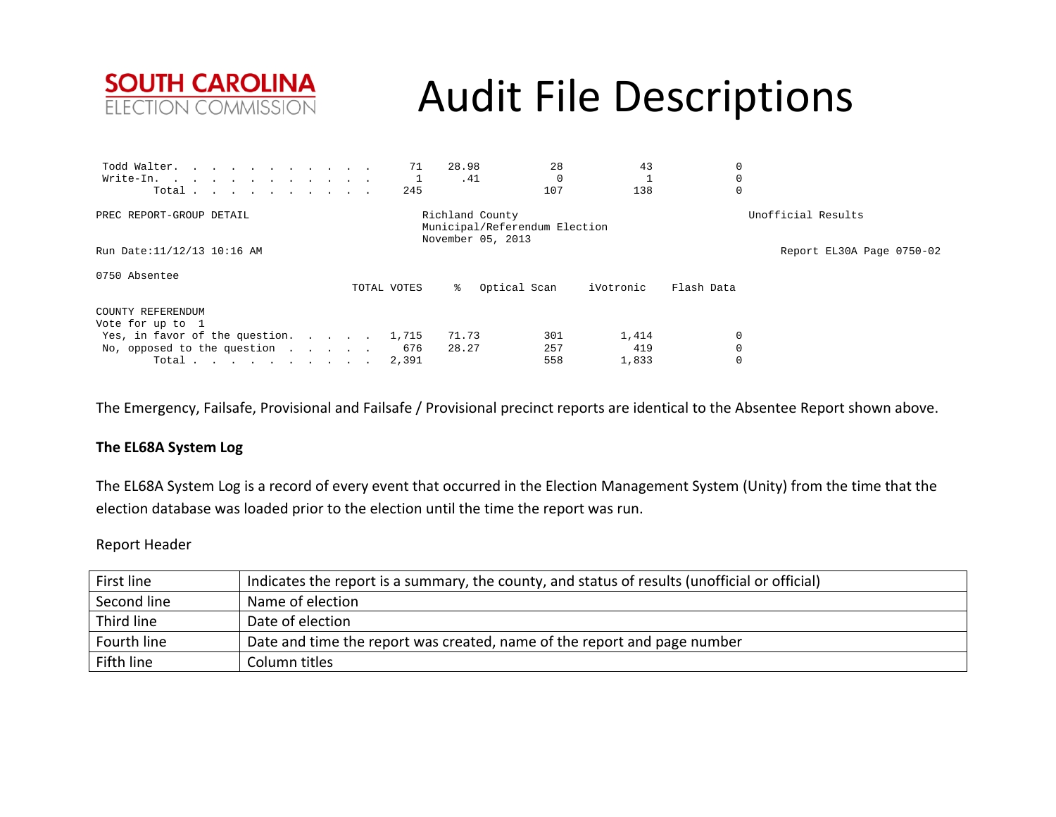

| Todd Walter.                        |             | 28.98<br>71    | 28                                                                    | 43        |                    |                           |
|-------------------------------------|-------------|----------------|-----------------------------------------------------------------------|-----------|--------------------|---------------------------|
| Write-In.                           |             |                | .41                                                                   |           | 0                  |                           |
| Total                               |             | 245            | 107                                                                   | 138       | 0                  |                           |
| PREC REPORT-GROUP DETAIL            |             |                | Richland County<br>Municipal/Referendum Election<br>November 05, 2013 |           | Unofficial Results |                           |
| Run Date:11/12/13 10:16 AM          |             |                |                                                                       |           |                    | Report EL30A Page 0750-02 |
| 0750 Absentee                       | TOTAL VOTES |                | Optical Scan                                                          | iVotronic | Flash Data         |                           |
| COUNTY REFERENDUM                   |             |                |                                                                       |           |                    |                           |
| Vote for up to 1                    |             |                |                                                                       |           |                    |                           |
| Yes, in favor of the question.      |             | 71.73<br>1,715 | 301                                                                   | 1,414     | 0                  |                           |
| No, opposed to the question $\cdot$ |             | 28.27<br>676   | 257                                                                   | 419       | $\Omega$           |                           |
| Total $\cdots$ $\cdots$ $\cdots$    |             | 2,391          | 558                                                                   | 1,833     | 0                  |                           |

The Emergency, Failsafe, Provisional and Failsafe / Provisional precinct reports are identical to the Absentee Report shown above.

### **The EL68A System Log**

The EL68A System Log is <sup>a</sup> record of every event that occurred in the Election Management System (Unity) from the time that the election database was loaded prior to the election until the time the report was run.

### Report Header

| First line  | Indicates the report is a summary, the county, and status of results (unofficial or official) |
|-------------|-----------------------------------------------------------------------------------------------|
| Second line | Name of election                                                                              |
| Third line  | Date of election                                                                              |
| Fourth line | Date and time the report was created, name of the report and page number                      |
| Fifth line  | Column titles                                                                                 |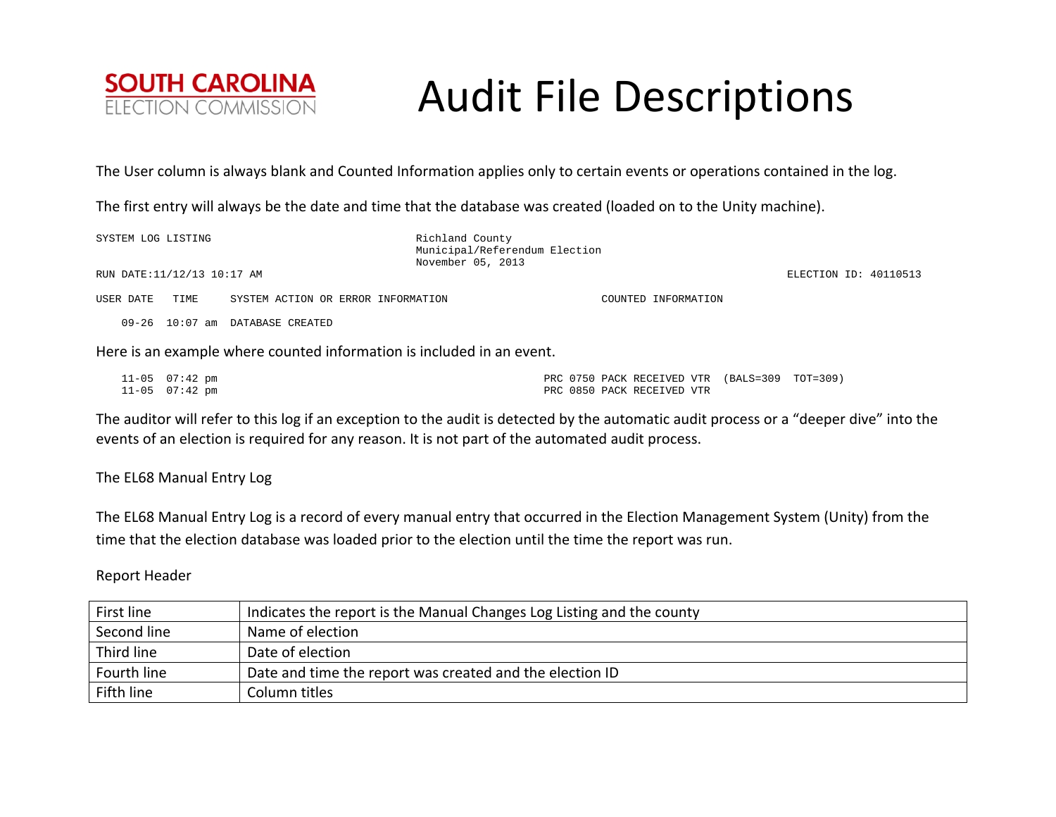

The User column is always blank and Counted Information applies only to certain events or operations contained in the log.

The first entry will always be the date and time that the database was created (loaded on to the Unity machine).

| SYSTEM LOG LISTING         |      |                                    | Richland County<br>Municipal/Referendum Election<br>November 05, 2013 |                     |                       |
|----------------------------|------|------------------------------------|-----------------------------------------------------------------------|---------------------|-----------------------|
| RUN DATE:11/12/13 10:17 AM |      |                                    |                                                                       |                     | ELECTION ID: 40110513 |
| USER DATE                  | TIME | SYSTEM ACTION OR ERROR INFORMATION |                                                                       | COUNTED INFORMATION |                       |
|                            |      | 09-26 10:07 am DATABASE CREATED    |                                                                       |                     |                       |

Here is an example where counted information is included in an event.

| 11-05 07:42 pm |  |                            | PRC 0750 PACK RECEIVED VTR (BALS=309 TOT=309) |  |
|----------------|--|----------------------------|-----------------------------------------------|--|
| 11-05 07:42 pm |  | PRC 0850 PACK RECEIVED VTR |                                               |  |

The auditor will refer to this log if an exception to the audit is detected by the automatic audit process or <sup>a</sup> "deeper dive" into the events of an election is required for any reason. It is not part of the automated audit process.

The EL68 Manual Entry Log

The EL68 Manual Entry Log is <sup>a</sup> record of every manual entry that occurred in the Election Management System (Unity) from the time that the election database was loaded prior to the election until the time the report was run.

### Report Header

| First line  | Indicates the report is the Manual Changes Log Listing and the county |
|-------------|-----------------------------------------------------------------------|
| Second line | Name of election                                                      |
| Third line  | Date of election                                                      |
| Fourth line | Date and time the report was created and the election ID              |
| Fifth line  | Column titles                                                         |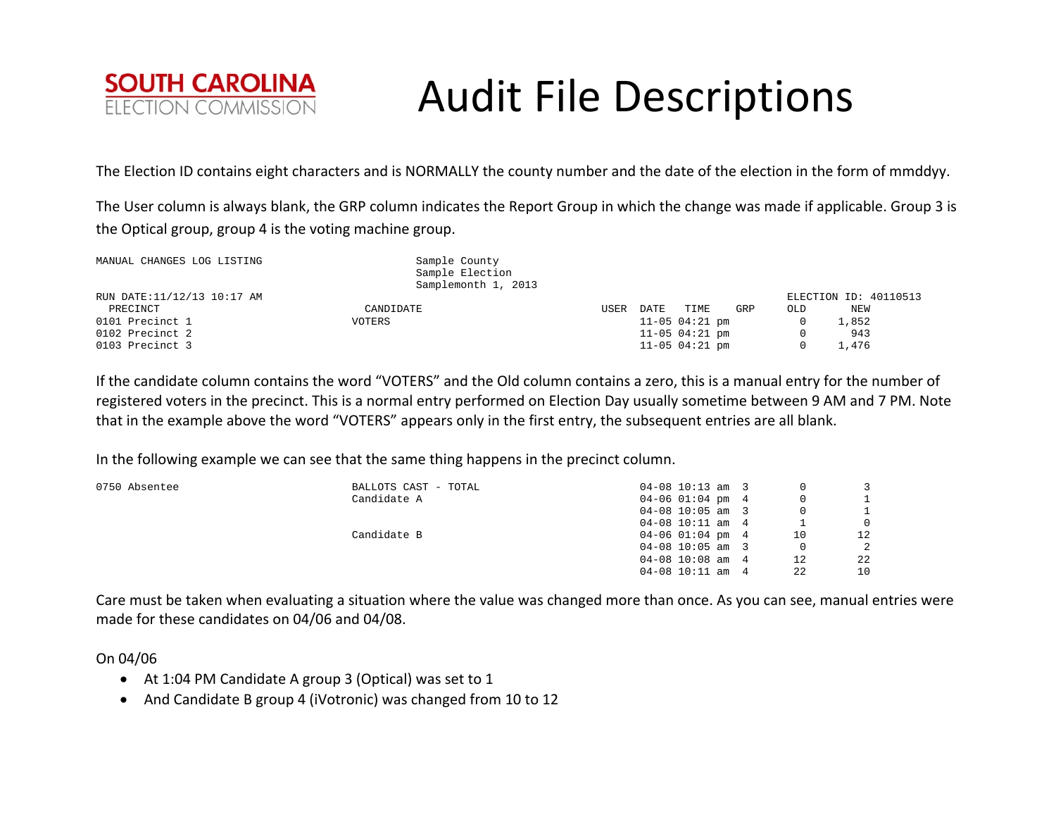

The Election ID contains eight characters and is NORMALLY the county number and the date of the election in the form of mmddyy.

The User column is always blank, the GRP column indicates the Report Group in which the change was made if applicable. Group 3 is the Optical group, group 4 is the voting machine group.

| MANUAL CHANGES LOG LISTING |           | Sample County<br>Sample Election<br>Samplemonth 1, 2013 |      |      |                  |     |     |                       |
|----------------------------|-----------|---------------------------------------------------------|------|------|------------------|-----|-----|-----------------------|
| RUN DATE:11/12/13 10:17 AM |           |                                                         |      |      |                  |     |     | ELECTION ID: 40110513 |
| PRECINCT                   | CANDIDATE |                                                         | USER | DATE | TIME             | GRP | OLD | NEW                   |
| 0101 Precinct 1            | VOTERS    |                                                         |      |      | $11-05$ 04:21 pm |     |     | 1,852                 |
| 0102 Precinct 2            |           |                                                         |      |      | $11-05$ 04:21 pm |     |     | 943                   |
| 0103 Precinct 3            |           |                                                         |      |      | $11-05$ 04:21 pm |     |     | 1,476                 |

If the candidate column contains the word "VOTERS" and the Old column contains <sup>a</sup> zero, this is <sup>a</sup> manual entry for the number of registered voters in the precinct. This is <sup>a</sup> normal entry performed on Election Day usually sometime between 9 AM and 7 PM. Note that in the example above the word "VOTERS" appears only in the first entry, the subsequent entries are all blank.

In the following example we can see that the same thing happens in the precinct column.

| 0750 Absentee | BALLOTS CAST - TOTAL | $04-08$ 10:13 am 3   | 0        |                 |
|---------------|----------------------|----------------------|----------|-----------------|
|               | Candidate A          | $04 - 06$ 01:04 pm 4 | $\Omega$ |                 |
|               |                      | $04-08$ 10:05 am 3   | $\Omega$ |                 |
|               |                      | $04-08$ 10:11 am 4   |          | $\Omega$        |
|               | Candidate B          | $04 - 06$ 01:04 pm 4 | 10       | 12 <sup>1</sup> |
|               |                      | $04-08$ 10:05 am 3   | $\Omega$ | 2               |
|               |                      | $04-08$ 10:08 am 4   | 12       | 22              |
|               |                      | $04-08$ 10:11 am 4   | 22       | 10              |

Care must be taken when evaluating <sup>a</sup> situation where the value was changed more than once. As you can see, manual entries were made for these candidates on 04/06 and 04/08.

On 04/06

- At 1:04 PM Candidate A group 3 (Optical) was set to 1
- And Candidate B group 4 (iVotronic) was changed from 10 to 12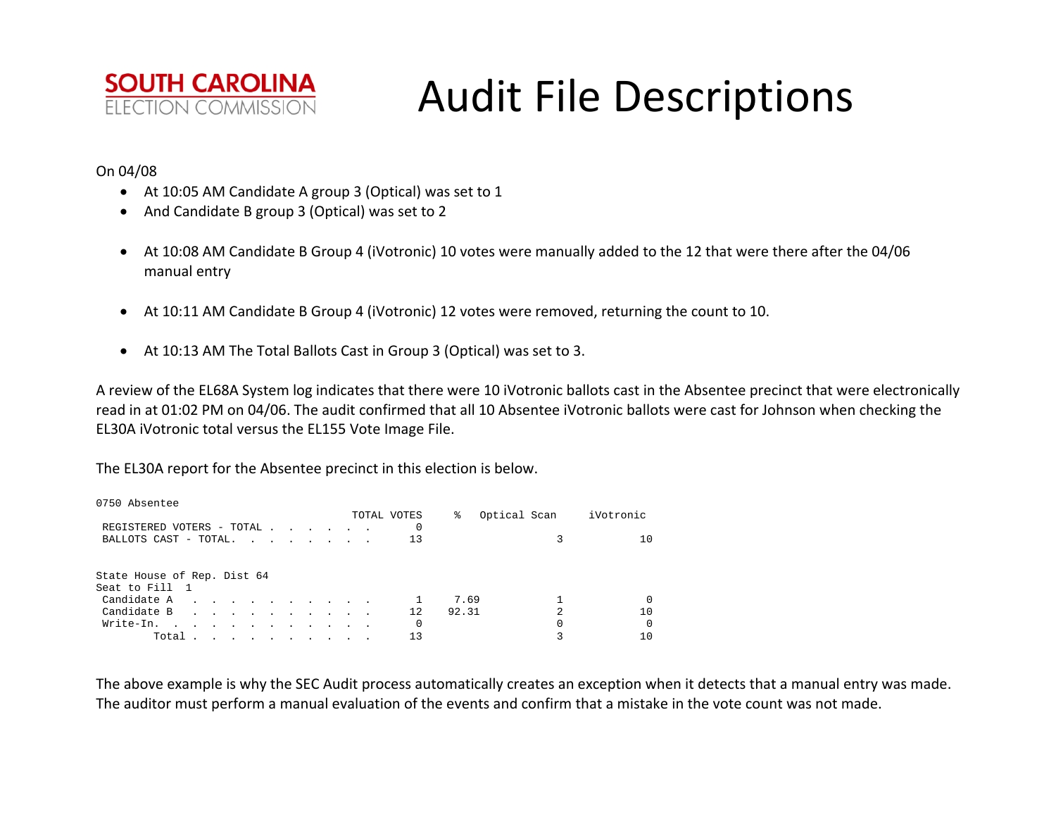

### On 04/08

- At 10:05 AM Candidate A group 3 (Optical) was set to 1
- And Candidate B group 3 (Optical) was set to 2
- At 10:08 AM Candidate B Group 4 (iVotronic) 10 votes were manually added to the 12 that were there after the 04/06 manual entry
- At 10:11 AM Candidate B Group 4 (iVotronic) 12 votes were removed, returning the count to 10.
- At 10:13 AM The Total Ballots Cast in Group 3 (Optical) was set to 3.

A review of the EL68A System log indicates that there were 10 iVotronic ballots cast in the Absentee precinct that were electronically read in at 01:02 PM on 04/06. The audit confirmed that all 10 Absentee iVotronic ballots were cast for Johnson when checking the EL30A iVotronic total versus the EL155 Vote Image File.

The EL30A report for the Absentee precinct in this election is below.

| 0750 Absentee               |  |                                                                                                                 |  |  |  |             |       |                |                  |
|-----------------------------|--|-----------------------------------------------------------------------------------------------------------------|--|--|--|-------------|-------|----------------|------------------|
|                             |  |                                                                                                                 |  |  |  | TOTAL VOTES | ⊱     | Optical Scan   | iVotronic        |
| REGISTERED VOTERS - TOTAL   |  |                                                                                                                 |  |  |  |             |       |                |                  |
| BALLOTS CAST - TOTAL.       |  |                                                                                                                 |  |  |  | 13          |       |                | 1 ດ              |
|                             |  |                                                                                                                 |  |  |  |             |       |                |                  |
| State House of Rep. Dist 64 |  |                                                                                                                 |  |  |  |             |       |                |                  |
| Seat to Fill 1              |  |                                                                                                                 |  |  |  |             |       |                |                  |
| Candidate A                 |  |                                                                                                                 |  |  |  |             | 7.69  |                | $\left( \right)$ |
| Candidate B                 |  |                                                                                                                 |  |  |  | 12.         | 92.31 | $\mathfrak{D}$ | 10               |
| Write-In.                   |  | the contract of the contract of the contract of the contract of the contract of the contract of the contract of |  |  |  | 0           |       |                | $\Omega$         |
| Total .                     |  | the contract of the contract of the contract of                                                                 |  |  |  | 13          |       |                | 1 ດ              |

The above example is why the SEC Audit process automatically creates an exception when it detects that <sup>a</sup> manual entry was made. The auditor must perform <sup>a</sup> manual evaluation of the events and confirm that <sup>a</sup> mistake in the vote count was not made.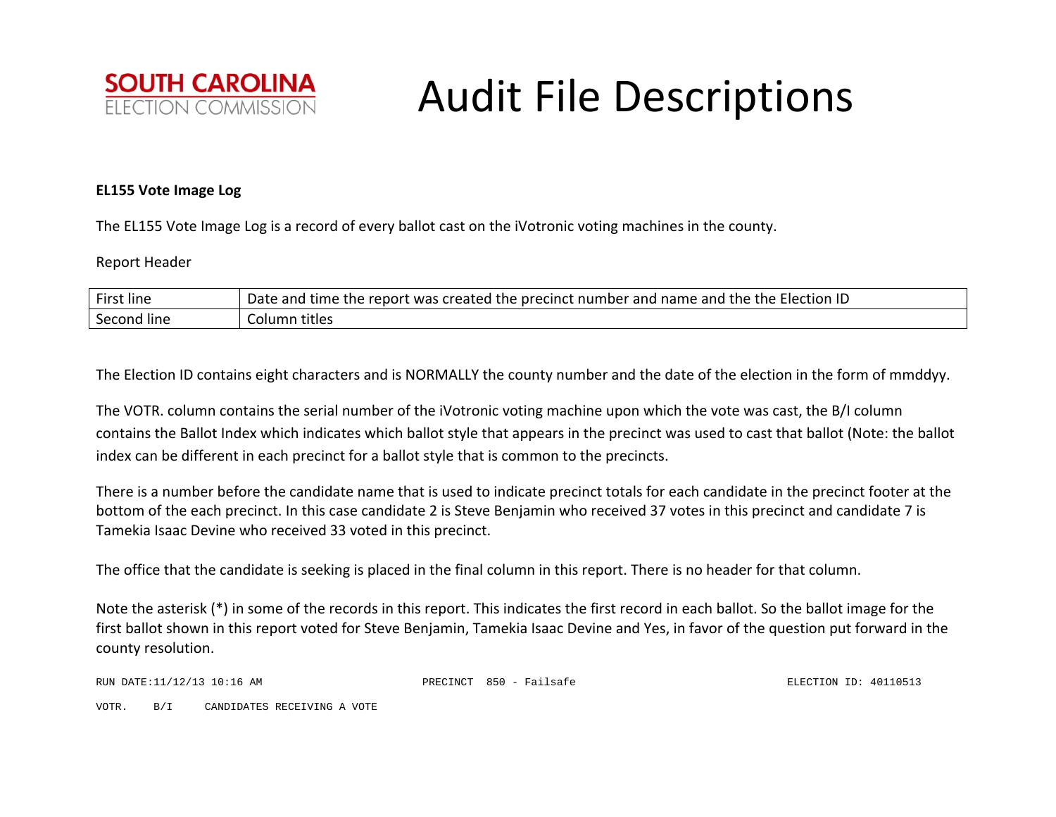

### **EL155 Vote Image Log**

The EL155 Vote Image Log is <sup>a</sup> record of every ballot cast on the iVotronic voting machines in the county.

### Report Header

| First line  | $\cdot$ the Election ID $\,$<br>I name and the<br>Date and<br>I time the report was created the precinct number and I |
|-------------|-----------------------------------------------------------------------------------------------------------------------|
| Second line | Column titles                                                                                                         |

The Election ID contains eight characters and is NORMALLY the county number and the date of the election in the form of mmddyy.

The VOTR. column contains the serial number of the iVotronic voting machine upon which the vote was cast, the B/I column contains the Ballot Index which indicates which ballot style that appears in the precinct was used to cast that ballot (Note: the ballot index can be different in each precinct for <sup>a</sup> ballot style that is common to the precincts.

There is <sup>a</sup> number before the candidate name that is used to indicate precinct totals for each candidate in the precinct footer at the bottom of the each precinct. In this case candidate 2 is Steve Benjamin who received 37 votes in this precinct and candidate 7 is Tamekia Isaac Devine who received 33 voted in this precinct.

The office that the candidate is seeking is placed in the final column in this report. There is no header for that column.

Note the asterisk (\*) in some of the records in this report. This indicates the first record in each ballot. So the ballot image for the first ballot shown in this report voted for Steve Benjamin, Tamekia Isaac Devine and Yes, in favor of the question put forward in the county resolution.

RUN DATE:11/12/13 10:16 AM PRECINCT 850 - Failsafe ELECTION ID: 40110513

VOTR. B/I CANDIDATES RECEIVING A VOTE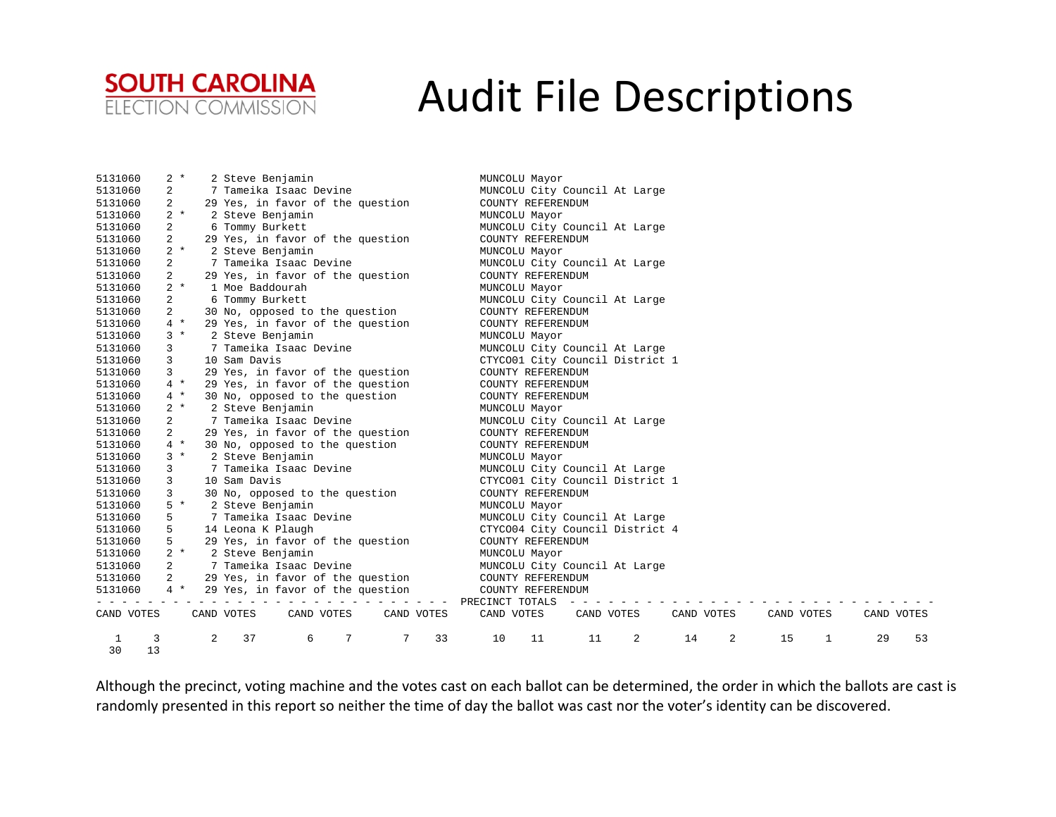

| 5131060 |            | $2 *$ |   | 2 Steve Benjamin                       | MUNCOLU Mayor                                                      |
|---------|------------|-------|---|----------------------------------------|--------------------------------------------------------------------|
| 5131060 |            | 2     |   | 7 Tameika Isaac Devine                 | MUNCOLU City Council At Large                                      |
| 5131060 |            | 2     |   | 29 Yes, in favor of the question       | COUNTY REFERENDUM                                                  |
| 5131060 |            | $2 *$ |   | 2 Steve Benjamin                       | MUNCOLU Mayor                                                      |
| 5131060 |            | 2     |   | 6 Tommy Burkett                        | MUNCOLU City Council At Large                                      |
| 5131060 |            | 2     |   | 29 Yes, in favor of the question       | COUNTY REFERENDUM                                                  |
| 5131060 |            | $2 *$ |   | 2 Steve Benjamin                       | MUNCOLU Mayor                                                      |
| 5131060 |            | 2     |   | 7 Tameika Isaac Devine                 | MUNCOLU City Council At Large                                      |
| 5131060 |            | 2     |   | 29 Yes, in favor of the question       | COUNTY REFERENDUM                                                  |
| 5131060 |            | $2 *$ |   | 1 Moe Baddourah                        | MUNCOLU Mayor                                                      |
| 5131060 |            | 2     |   | 6 Tommy Burkett                        | MUNCOLU City Council At Large                                      |
| 5131060 |            | 2     |   | 30 No, opposed to the question         | COUNTY REFERENDUM                                                  |
| 5131060 |            | $4 *$ |   | 29 Yes, in favor of the question       | COUNTY REFERENDUM                                                  |
| 5131060 |            | $3 *$ |   | 2 Steve Benjamin                       | MUNCOLU Mayor                                                      |
| 5131060 |            | 3     |   | 7 Tameika Isaac Devine                 | MUNCOLU City Council At Large                                      |
| 5131060 |            | 3     |   | 10 Sam Davis                           | CTYCO01 City Council District 1                                    |
| 5131060 |            | 3     |   | 29 Yes, in favor of the question       | COUNTY REFERENDUM                                                  |
| 5131060 |            | $4 *$ |   | 29 Yes, in favor of the question       | COUNTY REFERENDUM                                                  |
| 5131060 |            | $4 *$ |   | 30 No, opposed to the question         | COUNTY REFERENDUM                                                  |
| 5131060 |            | $2 *$ |   | 2 Steve Benjamin                       | MUNCOLU Mayor                                                      |
| 5131060 |            | 2     |   | 7 Tameika Isaac Devine                 | MUNCOLU City Council At Large                                      |
| 5131060 |            |       |   | 29 Yes, in favor of the question       | COUNTY REFERENDUM                                                  |
| 5131060 |            | $4 *$ |   | 30 No, opposed to the question         | COUNTY REFERENDUM                                                  |
| 5131060 |            | $3 *$ |   | 2 Steve Benjamin                       | MUNCOLU Mayor                                                      |
| 5131060 |            | 3     |   | 7 Tameika Isaac Devine                 | MUNCOLU City Council At Large                                      |
| 5131060 |            | 3     |   | 10 Sam Davis                           | CTYCO01 City Council District 1                                    |
| 5131060 |            | 3     |   | 30 No, opposed to the question         | COUNTY REFERENDUM                                                  |
| 5131060 |            | $5*$  |   | 2 Steve Benjamin                       | MUNCOLU Mayor                                                      |
| 5131060 |            | 5     |   | 7 Tameika Isaac Devine                 | MUNCOLU City Council At Large                                      |
| 5131060 |            | 5     |   | 14 Leona K Plaugh                      | CTYCO04 City Council District 4                                    |
| 5131060 |            | 5.    |   | 29 Yes, in favor of the question       | COUNTY REFERENDUM                                                  |
| 5131060 |            | $2 *$ |   | 2 Steve Benjamin                       | MUNCOLU Mayor                                                      |
| 5131060 |            | 2     |   | 7 Tameika Isaac Devine                 | MUNCOLU City Council At Large                                      |
| 5131060 |            | 2     |   | 29 Yes, in favor of the question       | COUNTY REFERENDUM                                                  |
| 5131060 |            | $4 *$ |   | 29 Yes, in favor of the question       | COUNTY REFERENDUM                                                  |
|         |            |       |   |                                        | PRECINCT TOTALS                                                    |
|         | CAND VOTES |       |   | CAND VOTES<br>CAND VOTES<br>CAND VOTES | CAND VOTES<br>CAND VOTES<br>CAND VOTES<br>CAND VOTES<br>CAND VOTES |
| 1       | 3          |       | 2 | 7<br>37<br>7<br>33<br>6                | 10<br>11<br>2<br>14<br>2<br>15<br>29<br>53<br>11<br>1              |
| 30      | 13         |       |   |                                        |                                                                    |

Although the precinct, voting machine and the votes cast on each ballot can be determined, the order in which the ballots are cast is randomly presented in this report so neither the time of day the ballot was cast nor the voter's identity can be discovered.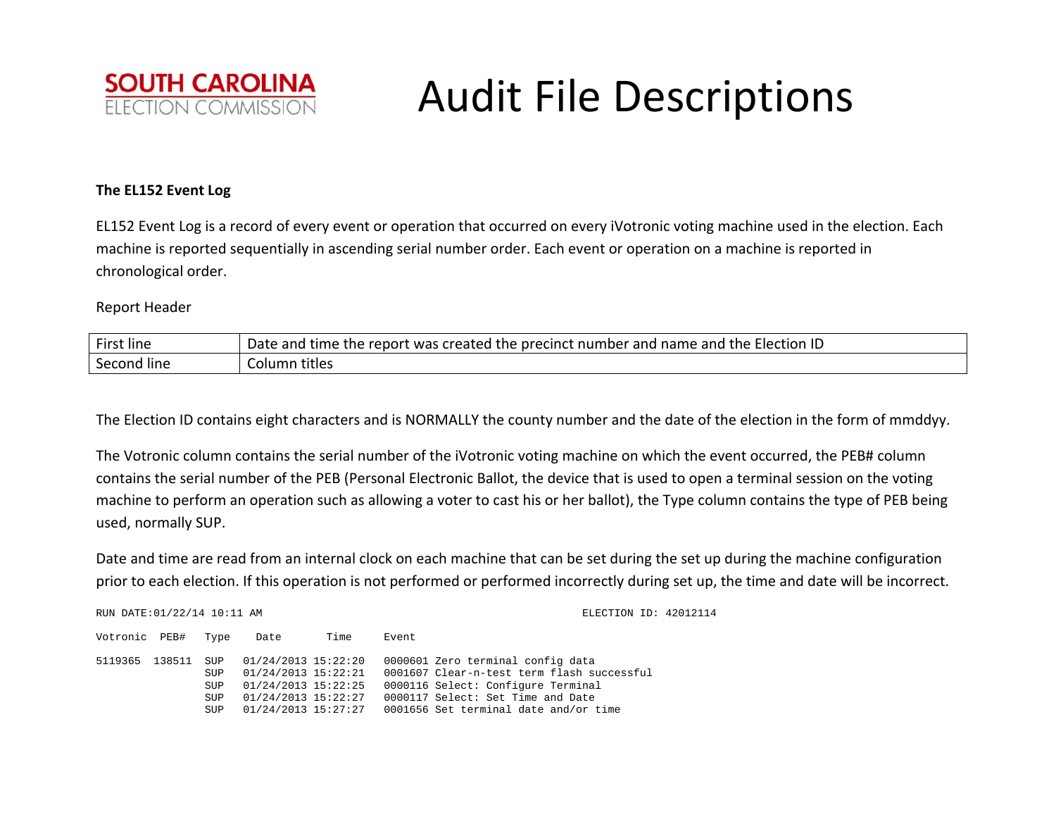

### **The EL152 Event Log**

EL152 Event Log is <sup>a</sup> record of every event or operation that occurred on every iVotronic voting machine used in the election. Each machine is reported sequentially in ascending serial number order. Each event or operation on <sup>a</sup> machine is reported in chronological order.

Report Header

| $- \cdot$  | of time the report was created the precinct number and name and the Election ID |
|------------|---------------------------------------------------------------------------------|
| .          | Date                                                                            |
| First line | : and                                                                           |
| Second     | titles                                                                          |
| line       | Column                                                                          |

The Election ID contains eight characters and is NORMALLY the county number and the date of the election in the form of mmddyy.

The Votronic column contains the serial number of the iVotronic voting machine on which the event occurred, the PEB# column contains the serial number of the PEB (Personal Electronic Ballot, the device that is used to open <sup>a</sup> terminal session on the voting machine to perform an operation such as allowing <sup>a</sup> voter to cast his or her ballot), the Type column contains the type of PEB being used, normally SUP.

Date and time are read from an internal clock on each machine that can be set during the set up during the machine configuration prior to each election. If this operation is not performed or performed incorrectly during set up, the time and date will be incorrect.

| RUN DATE: 01/22/14 10:11 AM |        |                                               |                                                                                                                 |      | ELECTION ID: 42012114                                                                                                                                                                               |  |
|-----------------------------|--------|-----------------------------------------------|-----------------------------------------------------------------------------------------------------------------|------|-----------------------------------------------------------------------------------------------------------------------------------------------------------------------------------------------------|--|
| Votronic PEB#               |        | Type                                          | Date                                                                                                            | Time | Event                                                                                                                                                                                               |  |
| 5119365                     | 138511 | SUP<br>SUP<br><b>SUP</b><br>SUP<br><b>SUP</b> | 01/24/2013 15:22:20<br>01/24/2013 15:22:21<br>01/24/2013 15:22:25<br>01/24/2013 15:22:27<br>01/24/2013 15:27:27 |      | 0000601 Zero terminal config data<br>0001607 Clear-n-test term flash successful<br>0000116 Select: Configure Terminal<br>0000117 Select: Set Time and Date<br>0001656 Set terminal date and/or time |  |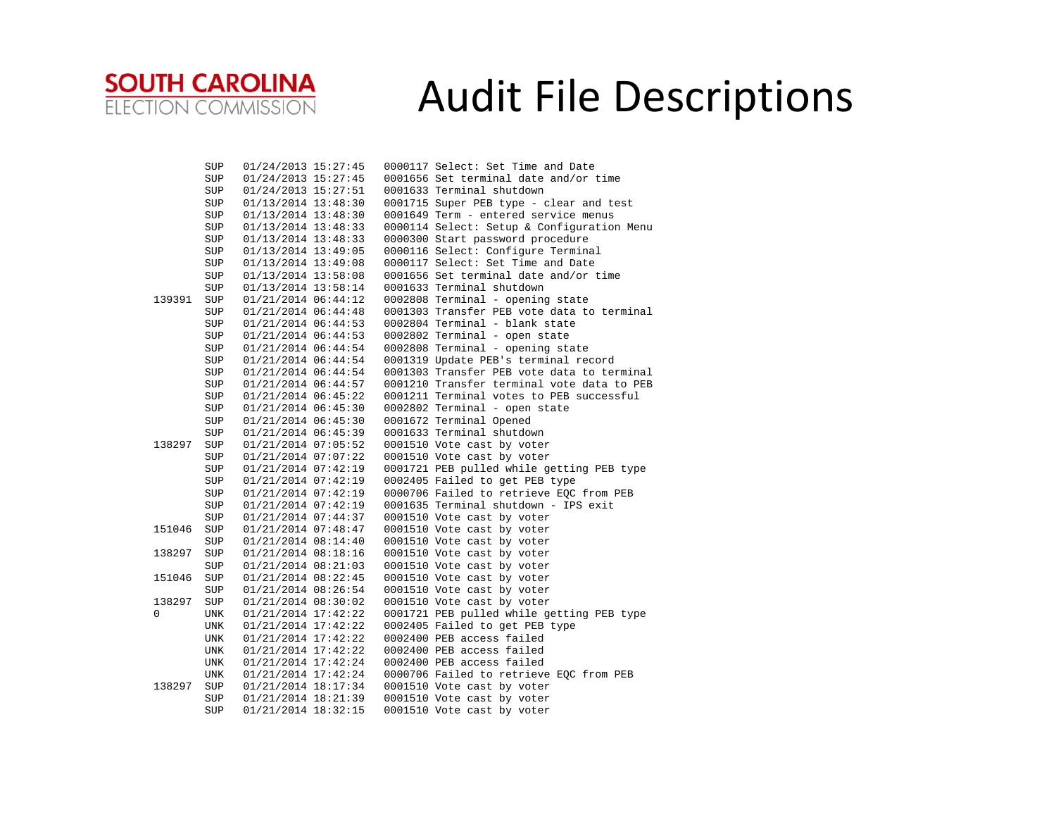

|        | SUP         | 01/24/2013 15:27:45                        |  | 0000117 Select: Set Time and Date                                                  |
|--------|-------------|--------------------------------------------|--|------------------------------------------------------------------------------------|
|        | SUP         | 01/24/2013 15:27:45                        |  | 0001656 Set terminal date and/or time                                              |
|        | SUP         | 01/24/2013 15:27:51                        |  | 0001633 Terminal shutdown                                                          |
|        | SUP         | 01/13/2014 13:48:30                        |  | 0001715 Super PEB type - clear and test                                            |
|        | SUP         | 01/13/2014 13:48:30                        |  | 0001649 Term - entered service menus                                               |
|        | SUP         | 01/13/2014 13:48:33                        |  | 0000114 Select: Setup & Configuration Menu                                         |
|        | SUP         | 01/13/2014 13:48:33                        |  | 0000300 Start password procedure                                                   |
|        | SUP         | 01/13/2014 13:49:05                        |  | 0000116 Select: Configure Terminal                                                 |
|        | SUP         | 01/13/2014 13:49:08                        |  | 0000117 Select: Set Time and Date                                                  |
|        | SUP         | $01/13/2014$ 13:58:08                      |  | 0001656 Set terminal date and/or time                                              |
|        | SUP         | 01/13/2014 13:58:14                        |  | 0001633 Terminal shutdown                                                          |
| 139391 | SUP         | 01/21/2014 06:44:12                        |  | 0002808 Terminal - opening state                                                   |
|        | SUP         | 01/21/2014 06:44:48                        |  | 0001303 Transfer PEB vote data to terminal                                         |
|        | SUP         | 01/21/2014 06:44:53                        |  | 0002804 Terminal - blank state                                                     |
|        | SUP         |                                            |  | 0002802 Terminal - open state                                                      |
|        | SUP         | 01/21/2014 06:44:53<br>01/21/2014 06:44:54 |  | 0002808 Terminal - opening state                                                   |
|        |             | 01/21/2014 06:44:54                        |  |                                                                                    |
|        | SUP         |                                            |  | 0001319 Update PEB's terminal record<br>0001303 Transfer PEB vote data to terminal |
|        | SUP         | 01/21/2014 06:44:54                        |  | 0001210 Transfer terminal vote data to PEB                                         |
|        | SUP         | 01/21/2014 06:44:57                        |  | 0001211 Terminal votes to PEB successful                                           |
|        | SUP         | 01/21/2014 06:45:22                        |  |                                                                                    |
|        | SUP         | 01/21/2014 06:45:30                        |  | 0002802 Terminal - open state                                                      |
|        | ${\tt SUP}$ | 01/21/2014 06:45:30                        |  | 0001672 Terminal Opened                                                            |
|        | SUP         | 01/21/2014 06:45:39                        |  | 0001633 Terminal shutdown                                                          |
| 138297 | SUP         | 01/21/2014 07:05:52                        |  | 0001510 Vote cast by voter                                                         |
|        | SUP         | 01/21/2014 07:07:22                        |  | 0001510 Vote cast by voter                                                         |
|        | SUP         | 01/21/2014 07:42:19                        |  | 0001721 PEB pulled while getting PEB type                                          |
|        | SUP         | 01/21/2014 07:42:19                        |  | 0002405 Failed to get PEB type                                                     |
|        | SUP         | 01/21/2014 07:42:19                        |  | 0000706 Failed to retrieve EQC from PEB                                            |
|        | SUP         | 01/21/2014 07:42:19                        |  | 0001635 Terminal shutdown - IPS exit                                               |
|        | SUP         | 01/21/2014 07:44:37                        |  | 0001510 Vote cast by voter                                                         |
| 151046 | SUP         | 01/21/2014 07:48:47                        |  | 0001510 Vote cast by voter                                                         |
|        | SUP         | 01/21/2014 08:14:40                        |  | 0001510 Vote cast by voter                                                         |
| 138297 | SUP         | 01/21/2014 08:18:16                        |  | 0001510 Vote cast by voter                                                         |
|        | SUP         | 01/21/2014 08:21:03                        |  | 0001510 Vote cast by voter                                                         |
| 151046 | SUP         | 01/21/2014 08:22:45                        |  | 0001510 Vote cast by voter                                                         |
|        | SUP         | 01/21/2014 08:26:54                        |  | 0001510 Vote cast by voter                                                         |
| 138297 | SUP         | 01/21/2014 08:30:02                        |  | 0001510 Vote cast by voter                                                         |
| 0      | UNK         | 01/21/2014 17:42:22                        |  | 0001721 PEB pulled while getting PEB type                                          |
|        | UNK         | 01/21/2014 17:42:22                        |  | 0002405 Failed to get PEB type                                                     |
|        | UNK         | 01/21/2014 17:42:22                        |  | 0002400 PEB access failed                                                          |
|        | UNK         | 01/21/2014 17:42:22                        |  | 0002400 PEB access failed                                                          |
|        | <b>UNK</b>  | 01/21/2014 17:42:24                        |  | 0002400 PEB access failed                                                          |
|        | UNK         | 01/21/2014 17:42:24                        |  | 0000706 Failed to retrieve EQC from PEB                                            |
| 138297 | SUP         | 01/21/2014 18:17:34                        |  | 0001510 Vote cast by voter                                                         |
|        | SUP         | 01/21/2014 18:21:39                        |  | 0001510 Vote cast by voter                                                         |
|        | SUP         | 01/21/2014 18:32:15                        |  | 0001510 Vote cast by voter                                                         |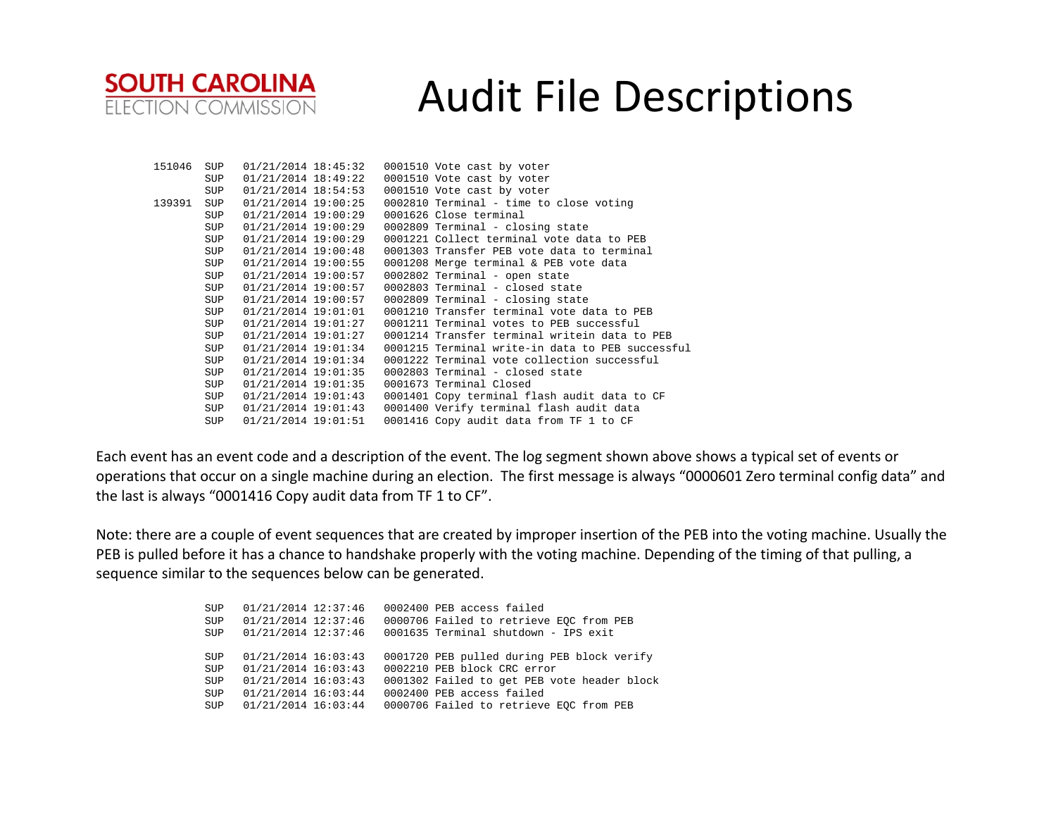

| 151046 | SUP        | 01/21/2014 18:45:32 |  | 0001510 Vote cast by voter                       |
|--------|------------|---------------------|--|--------------------------------------------------|
|        | SUP        | 01/21/2014 18:49:22 |  | 0001510 Vote cast by voter                       |
|        | SUP        | 01/21/2014 18:54:53 |  | 0001510 Vote cast by voter                       |
| 139391 | SUP        | 01/21/2014 19:00:25 |  | 0002810 Terminal - time to close voting          |
|        | SUP        | 01/21/2014 19:00:29 |  | 0001626 Close terminal                           |
|        | SUP        | 01/21/2014 19:00:29 |  | 0002809 Terminal - closing state                 |
|        | <b>SUP</b> | 01/21/2014 19:00:29 |  | 0001221 Collect terminal vote data to PEB        |
|        | SUP        | 01/21/2014 19:00:48 |  | 0001303 Transfer PEB vote data to terminal       |
|        | SUP        | 01/21/2014 19:00:55 |  | 0001208 Merge terminal & PEB vote data           |
|        | SUP        | 01/21/2014 19:00:57 |  | 0002802 Terminal - open state                    |
|        | SUP        | 01/21/2014 19:00:57 |  | 0002803 Terminal - closed state                  |
|        | SUP        | 01/21/2014 19:00:57 |  | 0002809 Terminal - closing state                 |
|        | SUP        | 01/21/2014 19:01:01 |  | 0001210 Transfer terminal vote data to PEB       |
|        | SUP        | 01/21/2014 19:01:27 |  | 0001211 Terminal votes to PEB successful         |
|        | SUP        | 01/21/2014 19:01:27 |  | 0001214 Transfer terminal writein data to PEB    |
|        | SUP        | 01/21/2014 19:01:34 |  | 0001215 Terminal write-in data to PEB successful |
|        | SUP        | 01/21/2014 19:01:34 |  | 0001222 Terminal vote collection successful      |
|        | SUP        | 01/21/2014 19:01:35 |  | 0002803 Terminal - closed state                  |
|        | SUP        | 01/21/2014 19:01:35 |  | 0001673 Terminal Closed                          |
|        | SUP        | 01/21/2014 19:01:43 |  | 0001401 Copy terminal flash audit data to CF     |
|        | <b>SUP</b> | 01/21/2014 19:01:43 |  | 0001400 Verify terminal flash audit data         |
|        | <b>SUP</b> | 01/21/2014 19:01:51 |  | 0001416 Copy audit data from TF 1 to CF          |

Each event has an event code and <sup>a</sup> description of the event. The log segment shown above shows <sup>a</sup> typical set of events or operations that occur on <sup>a</sup> single machine during an election. The first message is always "0000601 Zero terminal config data" and the last is always "0001416 Copy audit data from TF 1 to CF".

Note: there are <sup>a</sup> couple of event sequences that are created by improper insertion of the PEB into the voting machine. Usually the PEB is pulled before it has <sup>a</sup> chance to handshake properly with the voting machine. Depending of the timing of that pulling, <sup>a</sup> sequence similar to the sequences below can be generated.

| SUP        | 01/21/2014 12:37:46 |  | 0002400 PEB access failed                   |
|------------|---------------------|--|---------------------------------------------|
| SUP        | 01/21/2014 12:37:46 |  | 0000706 Failed to retrieve EOC from PEB     |
| <b>SUP</b> | 01/21/2014 12:37:46 |  | 0001635 Terminal shutdown - IPS exit        |
| <b>SUP</b> | 01/21/2014 16:03:43 |  | 0001720 PEB pulled during PEB block verify  |
| SUP        | 01/21/2014 16:03:43 |  | 0002210 PEB block CRC error                 |
| <b>SUP</b> | 01/21/2014 16:03:43 |  | 0001302 Failed to get PEB vote header block |
| SUP        | 01/21/2014 16:03:44 |  | 0002400 PEB access failed                   |
| <b>SUP</b> | 01/21/2014 16:03:44 |  | 0000706 Failed to retrieve EOC from PEB     |